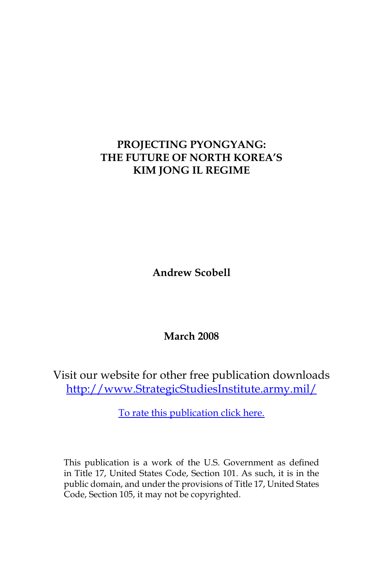# **PROJECTING PYONGYANG: THE FUTURE OF NORTH KOREA'S KIM JONG IL REGIME**

**Andrew Scobell**

**March 2008**

Visit our website for other free publication downloads [http://www.StrategicStudiesInstitute.army.mil/](http://www.StrategicStudiesInstitute.army.mil)

[To rate this publication click here.](http://www.strategicstudiesinstitute.army.mil/pubs/display.cfm?pubID=844)

This publication is a work of the U.S. Government as defined in Title 17, United States Code, Section 101. As such, it is in the public domain, and under the provisions of Title 17, United States Code, Section 105, it may not be copyrighted.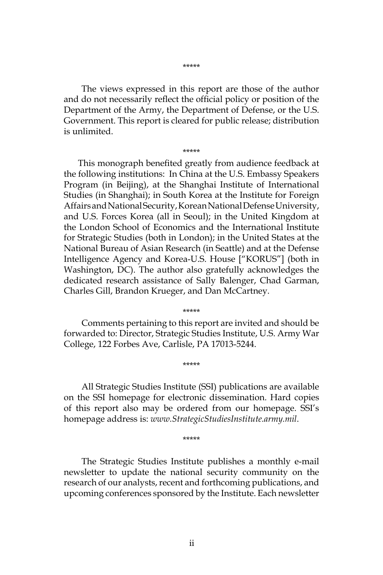The views expressed in this report are those of the author and do not necessarily reflect the official policy or position of the Department of the Army, the Department of Defense, or the U.S. Government. This report is cleared for public release; distribution is unlimited.

\*\*\*\*\*

This monograph benefited greatly from audience feedback at the following institutions: In China at the U.S. Embassy Speakers Program (in Beijing), at the Shanghai Institute of International Studies (in Shanghai); in South Korea at the Institute for Foreign Affairs and National Security, Korean National Defense University, and U.S. Forces Korea (all in Seoul); in the United Kingdom at the London School of Economics and the International Institute for Strategic Studies (both in London); in the United States at the National Bureau of Asian Research (in Seattle) and at the Defense Intelligence Agency and Korea-U.S. House ["KORUS"] (both in Washington, DC). The author also gratefully acknowledges the dedicated research assistance of Sally Balenger, Chad Garman, Charles Gill, Brandon Krueger, and Dan McCartney.

Comments pertaining to this report are invited and should be forwarded to: Director, Strategic Studies Institute, U.S. Army War College, 122 Forbes Ave, Carlisle, PA 17013-5244.

\*\*\*\*\*

\*\*\*\*\*

All Strategic Studies Institute (SSI) publications are available on the SSI homepage for electronic dissemination. Hard copies of this report also may be ordered from our homepage. SSI's homepage address is: *www.StrategicStudiesInstitute.army.mil*.

\*\*\*\*\*

The Strategic Studies Institute publishes a monthly e-mail newsletter to update the national security community on the research of our analysts, recent and forthcoming publications, and upcoming conferences sponsored by the Institute. Each newsletter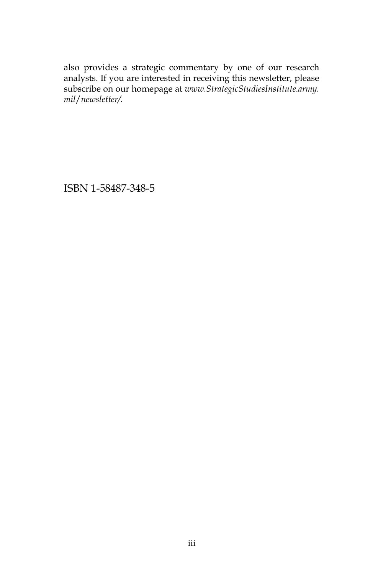also provides a strategic commentary by one of our research analysts. If you are interested in receiving this newsletter, please subscribe on our homepage at *www.StrategicStudiesInstitute.army. mil*/*newsletter/.*

ISBN 1-58487-348-5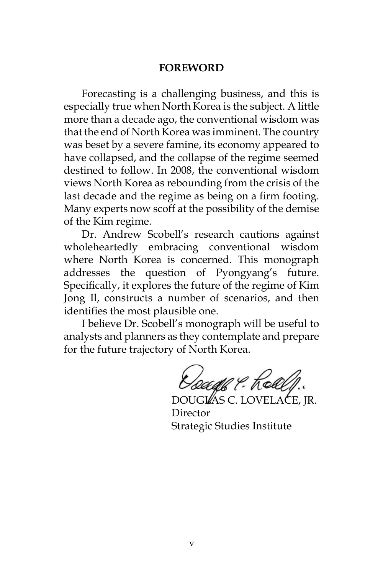#### **FOREWORD**

Forecasting is a challenging business, and this is especially true when North Korea is the subject. A little more than a decade ago, the conventional wisdom was that the end of North Korea was imminent. The country was beset by a severe famine, its economy appeared to have collapsed, and the collapse of the regime seemed destined to follow. In 2008, the conventional wisdom views North Korea as rebounding from the crisis of the last decade and the regime as being on a firm footing. Many experts now scoff at the possibility of the demise of the Kim regime.

Dr. Andrew Scobell's research cautions against wholeheartedly embracing conventional wisdom where North Korea is concerned. This monograph addresses the question of Pyongyang's future. Specifically, it explores the future of the regime of Kim Jong Il, constructs a number of scenarios, and then identifies the most plausible one.

I believe Dr. Scobell's monograph will be useful to analysts and planners as they contemplate and prepare for the future trajectory of North Korea.

Geadh P. Kell

DOUGLAS C. LOVELACE, JR. Director Strategic Studies Institute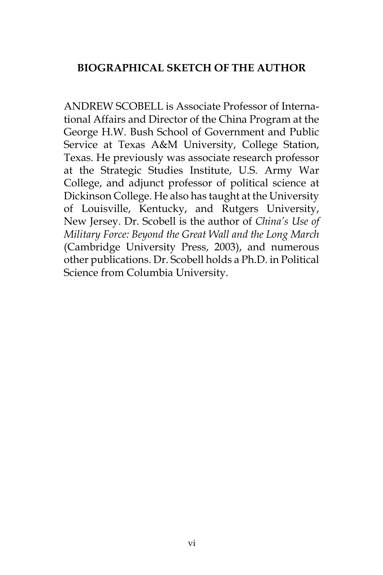## **BIOGRAPHICAL SKETCH OF THE AUTHOR**

ANDREW SCOBELL is Associate Professor of International Affairs and Director of the China Program at the George H.W. Bush School of Government and Public Service at Texas A&M University, College Station, Texas. He previously was associate research professor at the Strategic Studies Institute, U.S. Army War College, and adjunct professor of political science at Dickinson College. He also has taught at the University of Louisville, Kentucky, and Rutgers University, New Jersey. Dr. Scobell is the author of *China's Use of Military Force: Beyond the Great Wall and the Long March* (Cambridge University Press, 2003), and numerous other publications. Dr. Scobell holds a Ph.D. in Political Science from Columbia University.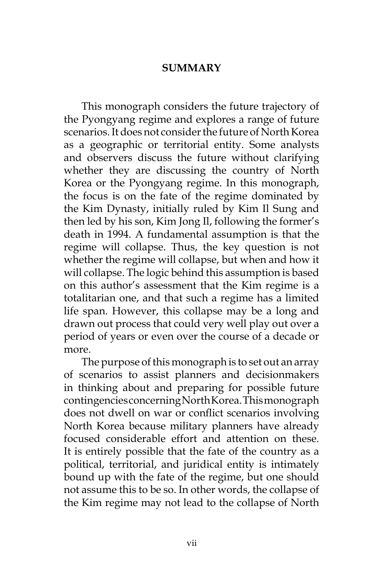#### **SUMMARY**

This monograph considers the future trajectory of the Pyongyang regime and explores a range of future scenarios. It does not consider the future of North Korea as a geographic or territorial entity. Some analysts and observers discuss the future without clarifying whether they are discussing the country of North Korea or the Pyongyang regime. In this monograph, the focus is on the fate of the regime dominated by the Kim Dynasty, initially ruled by Kim Il Sung and then led by his son, Kim Jong Il, following the former's death in 1994. A fundamental assumption is that the regime will collapse. Thus, the key question is not whether the regime will collapse, but when and how it will collapse. The logic behind this assumption is based on this author's assessment that the Kim regime is a totalitarian one, and that such a regime has a limited life span. However, this collapse may be a long and drawn out process that could very well play out over a period of years or even over the course of a decade or more.

The purpose of this monograph is to set out an array of scenarios to assist planners and decisionmakers in thinking about and preparing for possible future contingencies concerning North Korea. This monograph does not dwell on war or conflict scenarios involving North Korea because military planners have already focused considerable effort and attention on these. It is entirely possible that the fate of the country as a political, territorial, and juridical entity is intimately bound up with the fate of the regime, but one should not assume this to be so. In other words, the collapse of the Kim regime may not lead to the collapse of North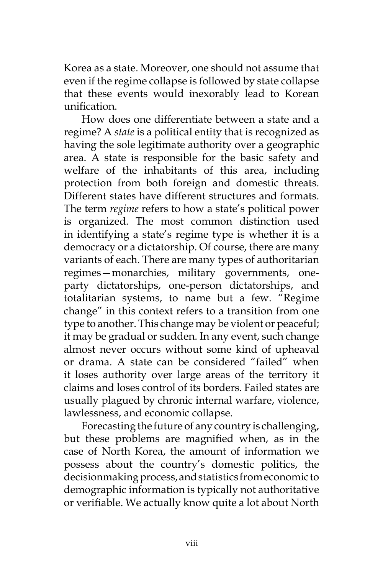Korea as a state. Moreover, one should not assume that even if the regime collapse is followed by state collapse that these events would inexorably lead to Korean unification.

How does one differentiate between a state and a regime? A *state* is a political entity that is recognized as having the sole legitimate authority over a geographic area. A state is responsible for the basic safety and welfare of the inhabitants of this area, including protection from both foreign and domestic threats. Different states have different structures and formats. The term *regime* refers to how a state's political power is organized. The most common distinction used in identifying a state's regime type is whether it is a democracy or a dictatorship. Of course, there are many variants of each. There are many types of authoritarian regimes—monarchies, military governments, oneparty dictatorships, one-person dictatorships, and totalitarian systems, to name but a few. "Regime change" in this context refers to a transition from one type to another. This change may be violent or peaceful; it may be gradual or sudden. In any event, such change almost never occurs without some kind of upheaval or drama. A state can be considered "failed" when it loses authority over large areas of the territory it claims and loses control of its borders. Failed states are usually plagued by chronic internal warfare, violence, lawlessness, and economic collapse.

Forecasting the future of any country is challenging, but these problems are magnified when, as in the case of North Korea, the amount of information we possess about the country's domestic politics, the decisionmaking process, and statistics from economic to demographic information is typically not authoritative or verifiable. We actually know quite a lot about North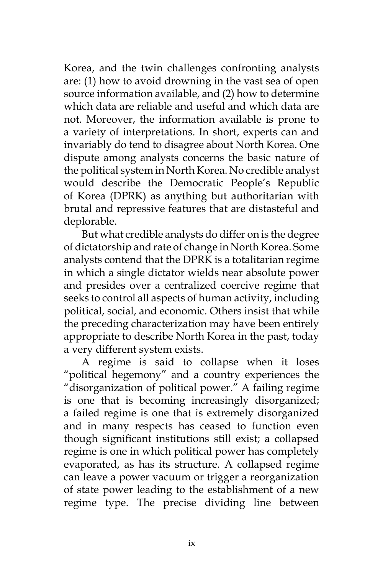Korea, and the twin challenges confronting analysts are: (1) how to avoid drowning in the vast sea of open source information available, and (2) how to determine which data are reliable and useful and which data are not. Moreover, the information available is prone to a variety of interpretations. In short, experts can and invariably do tend to disagree about North Korea. One dispute among analysts concerns the basic nature of the political system in North Korea. No credible analyst would describe the Democratic People's Republic of Korea (DPRK) as anything but authoritarian with brutal and repressive features that are distasteful and deplorable.

But what credible analysts do differ on is the degree of dictatorship and rate of change in North Korea. Some analysts contend that the DPRK is a totalitarian regime in which a single dictator wields near absolute power and presides over a centralized coercive regime that seeks to control all aspects of human activity, including political, social, and economic. Others insist that while the preceding characterization may have been entirely appropriate to describe North Korea in the past, today a very different system exists.

A regime is said to collapse when it loses "political hegemony" and a country experiences the "disorganization of political power." A failing regime is one that is becoming increasingly disorganized; a failed regime is one that is extremely disorganized and in many respects has ceased to function even though significant institutions still exist; a collapsed regime is one in which political power has completely evaporated, as has its structure. A collapsed regime can leave a power vacuum or trigger a reorganization of state power leading to the establishment of a new regime type. The precise dividing line between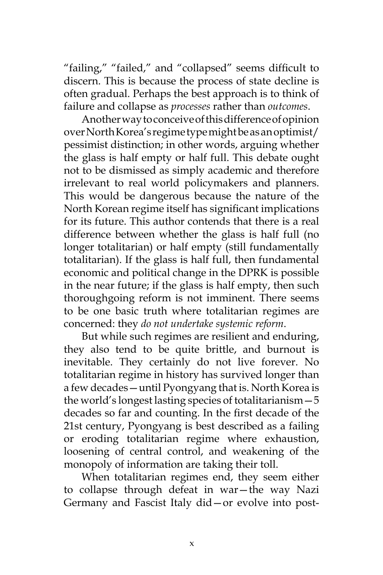"failing," "failed," and "collapsed" seems difficult to discern. This is because the process of state decline is often gradual. Perhaps the best approach is to think of failure and collapse as *processes* rather than *outcomes*.

Another way to conceive of this difference of opinion over North Korea's regime type might be as an optimist/ pessimist distinction; in other words, arguing whether the glass is half empty or half full. This debate ought not to be dismissed as simply academic and therefore irrelevant to real world policymakers and planners. This would be dangerous because the nature of the North Korean regime itself has significant implications for its future. This author contends that there is a real difference between whether the glass is half full (no longer totalitarian) or half empty (still fundamentally totalitarian). If the glass is half full, then fundamental economic and political change in the DPRK is possible in the near future; if the glass is half empty, then such thoroughgoing reform is not imminent. There seems to be one basic truth where totalitarian regimes are concerned: they *do not undertake systemic reform*.

But while such regimes are resilient and enduring, they also tend to be quite brittle, and burnout is inevitable. They certainly do not live forever. No totalitarian regime in history has survived longer than a few decades—until Pyongyang that is. North Korea is the world's longest lasting species of totalitarianism—5 decades so far and counting. In the first decade of the 21st century, Pyongyang is best described as a failing or eroding totalitarian regime where exhaustion, loosening of central control, and weakening of the monopoly of information are taking their toll.

When totalitarian regimes end, they seem either to collapse through defeat in war—the way Nazi Germany and Fascist Italy did—or evolve into post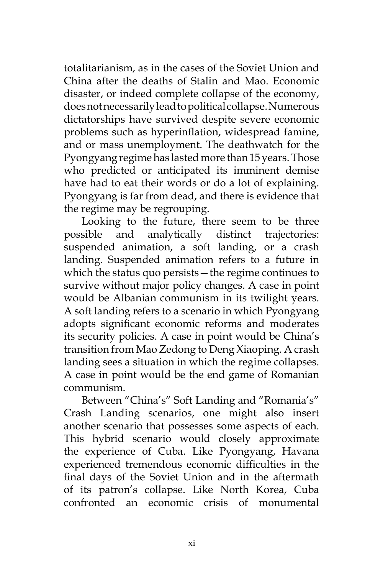totalitarianism, as in the cases of the Soviet Union and China after the deaths of Stalin and Mao. Economic disaster, or indeed complete collapse of the economy, does not necessarily lead to political collapse. Numerous dictatorships have survived despite severe economic problems such as hyperinflation, widespread famine, and or mass unemployment. The deathwatch for the Pyongyang regime has lasted more than 15 years. Those who predicted or anticipated its imminent demise have had to eat their words or do a lot of explaining. Pyongyang is far from dead, and there is evidence that the regime may be regrouping.

Looking to the future, there seem to be three possible and analytically distinct trajectories: suspended animation, a soft landing, or a crash landing. Suspended animation refers to a future in which the status quo persists—the regime continues to survive without major policy changes. A case in point would be Albanian communism in its twilight years. A soft landing refers to a scenario in which Pyongyang adopts significant economic reforms and moderates its security policies. A case in point would be China's transition from Mao Zedong to Deng Xiaoping. A crash landing sees a situation in which the regime collapses. A case in point would be the end game of Romanian communism.

Between "China's" Soft Landing and "Romania's" Crash Landing scenarios, one might also insert another scenario that possesses some aspects of each. This hybrid scenario would closely approximate the experience of Cuba. Like Pyongyang, Havana experienced tremendous economic difficulties in the final days of the Soviet Union and in the aftermath of its patron's collapse. Like North Korea, Cuba confronted an economic crisis of monumental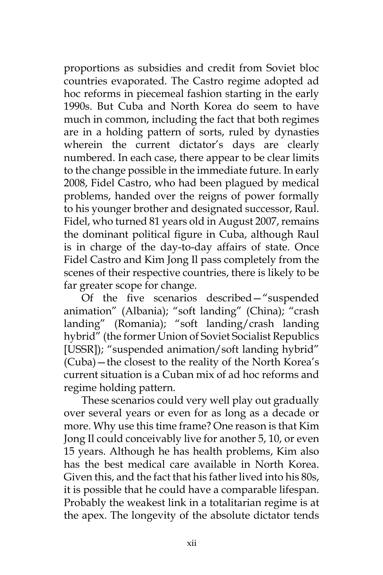proportions as subsidies and credit from Soviet bloc countries evaporated. The Castro regime adopted ad hoc reforms in piecemeal fashion starting in the early 1990s. But Cuba and North Korea do seem to have much in common, including the fact that both regimes are in a holding pattern of sorts, ruled by dynasties wherein the current dictator's days are clearly numbered. In each case, there appear to be clear limits to the change possible in the immediate future. In early 2008, Fidel Castro, who had been plagued by medical problems, handed over the reigns of power formally to his younger brother and designated successor, Raul. Fidel, who turned 81 years old in August 2007, remains the dominant political figure in Cuba, although Raul is in charge of the day-to-day affairs of state. Once Fidel Castro and Kim Jong Il pass completely from the scenes of their respective countries, there is likely to be far greater scope for change.

Of the five scenarios described—"suspended animation" (Albania); "soft landing" (China); "crash landing" (Romania); "soft landing/crash landing hybrid" (the former Union of Soviet Socialist Republics [USSR]); "suspended animation/soft landing hybrid" (Cuba)—the closest to the reality of the North Korea's current situation is a Cuban mix of ad hoc reforms and regime holding pattern.

These scenarios could very well play out gradually over several years or even for as long as a decade or more. Why use this time frame? One reason is that Kim Jong Il could conceivably live for another 5, 10, or even 15 years. Although he has health problems, Kim also has the best medical care available in North Korea. Given this, and the fact that his father lived into his 80s, it is possible that he could have a comparable lifespan. Probably the weakest link in a totalitarian regime is at the apex. The longevity of the absolute dictator tends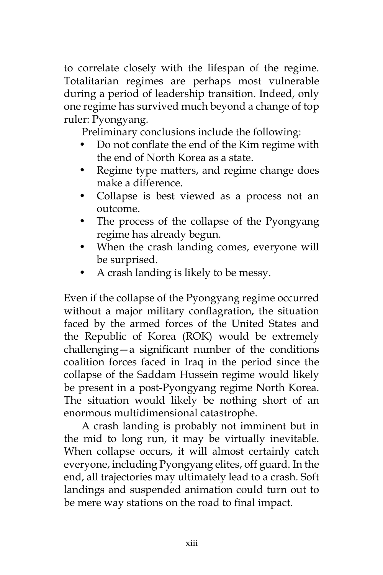to correlate closely with the lifespan of the regime. Totalitarian regimes are perhaps most vulnerable during a period of leadership transition. Indeed, only one regime has survived much beyond a change of top ruler: Pyongyang.

Preliminary conclusions include the following:

- Do not conflate the end of the Kim regime with the end of North Korea as a state.
- Regime type matters, and regime change does make a difference.
- Collapse is best viewed as a process not an outcome.
- The process of the collapse of the Pyongyang regime has already begun.
- When the crash landing comes, everyone will be surprised.
- A crash landing is likely to be messy.

Even if the collapse of the Pyongyang regime occurred without a major military conflagration, the situation faced by the armed forces of the United States and the Republic of Korea (ROK) would be extremely challenging—a significant number of the conditions coalition forces faced in Iraq in the period since the collapse of the Saddam Hussein regime would likely be present in a post-Pyongyang regime North Korea. The situation would likely be nothing short of an enormous multidimensional catastrophe.

A crash landing is probably not imminent but in the mid to long run, it may be virtually inevitable. When collapse occurs, it will almost certainly catch everyone, including Pyongyang elites, off guard. In the end, all trajectories may ultimately lead to a crash. Soft landings and suspended animation could turn out to be mere way stations on the road to final impact.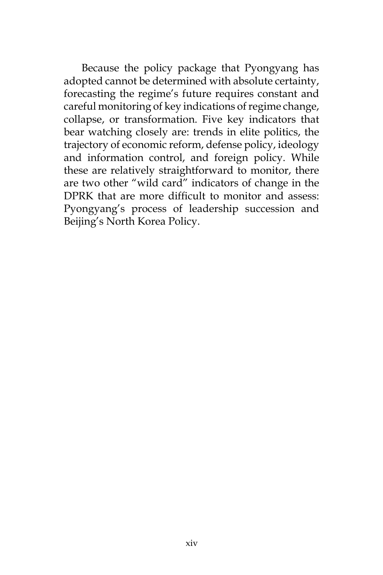Because the policy package that Pyongyang has adopted cannot be determined with absolute certainty, forecasting the regime's future requires constant and careful monitoring of key indications of regime change, collapse, or transformation. Five key indicators that bear watching closely are: trends in elite politics, the trajectory of economic reform, defense policy, ideology and information control, and foreign policy. While these are relatively straightforward to monitor, there are two other "wild card" indicators of change in the DPRK that are more difficult to monitor and assess: Pyongyang's process of leadership succession and Beijing's North Korea Policy.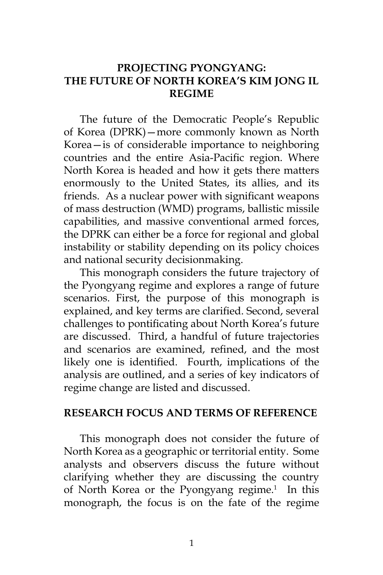## **PROJECTING PYONGYANG: THE FUTURE OF NORTH KOREA'S KIM JONG IL REGIME**

The future of the Democratic People's Republic of Korea (DPRK)—more commonly known as North Korea—is of considerable importance to neighboring countries and the entire Asia-Pacific region. Where North Korea is headed and how it gets there matters enormously to the United States, its allies, and its friends. As a nuclear power with significant weapons of mass destruction (WMD) programs, ballistic missile capabilities, and massive conventional armed forces, the DPRK can either be a force for regional and global instability or stability depending on its policy choices and national security decisionmaking.

This monograph considers the future trajectory of the Pyongyang regime and explores a range of future scenarios. First, the purpose of this monograph is explained, and key terms are clarified. Second, several challenges to pontificating about North Korea's future are discussed. Third, a handful of future trajectories and scenarios are examined, refined, and the most likely one is identified. Fourth, implications of the analysis are outlined, and a series of key indicators of regime change are listed and discussed.

#### **RESEARCH FOCUS AND TERMS OF REFERENCE**

This monograph does not consider the future of North Korea as a geographic or territorial entity. Some analysts and observers discuss the future without clarifying whether they are discussing the country of North Korea or the Pyongyang regime.<sup>1</sup> In this monograph, the focus is on the fate of the regime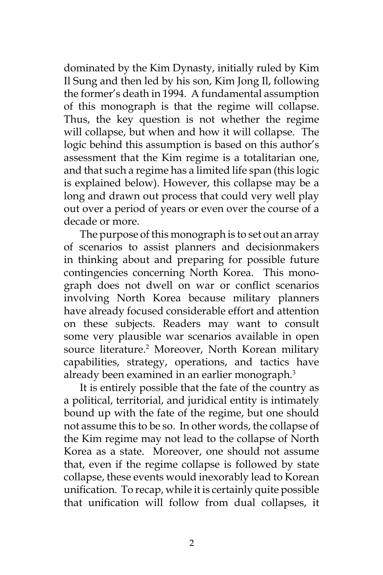dominated by the Kim Dynasty, initially ruled by Kim Il Sung and then led by his son, Kim Jong Il, following the former's death in 1994. A fundamental assumption of this monograph is that the regime will collapse. Thus, the key question is not whether the regime will collapse, but when and how it will collapse. The logic behind this assumption is based on this author's assessment that the Kim regime is a totalitarian one, and that such a regime has a limited life span (this logic is explained below). However, this collapse may be a long and drawn out process that could very well play out over a period of years or even over the course of a decade or more.

The purpose of this monograph is to set out an array of scenarios to assist planners and decisionmakers in thinking about and preparing for possible future contingencies concerning North Korea. This monograph does not dwell on war or conflict scenarios involving North Korea because military planners have already focused considerable effort and attention on these subjects. Readers may want to consult some very plausible war scenarios available in open source literature.<sup>2</sup> Moreover, North Korean military capabilities, strategy, operations, and tactics have already been examined in an earlier monograph.<sup>3</sup>

It is entirely possible that the fate of the country as a political, territorial, and juridical entity is intimately bound up with the fate of the regime, but one should not assume this to be so. In other words, the collapse of the Kim regime may not lead to the collapse of North Korea as a state. Moreover, one should not assume that, even if the regime collapse is followed by state collapse, these events would inexorably lead to Korean unification. To recap, while it is certainly quite possible that unification will follow from dual collapses, it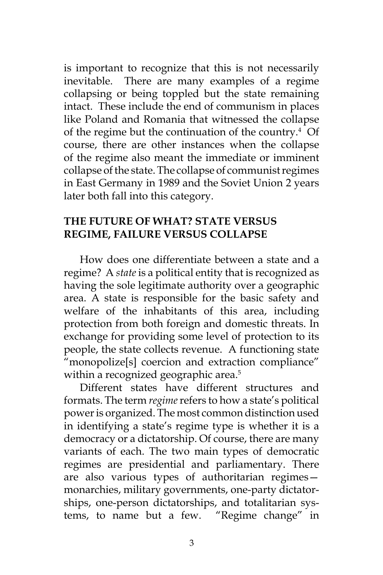is important to recognize that this is not necessarily inevitable. There are many examples of a regime collapsing or being toppled but the state remaining intact. These include the end of communism in places like Poland and Romania that witnessed the collapse of the regime but the continuation of the country.<sup>4</sup> Of course, there are other instances when the collapse of the regime also meant the immediate or imminent collapse of the state. The collapse of communist regimes in East Germany in 1989 and the Soviet Union 2 years later both fall into this category.

#### **THE FUTURE OF WHAT? STATE VERSUS REGIME, FAILURE VERSUS COLLAPSE**

How does one differentiate between a state and a regime? A *state* is a political entity that is recognized as having the sole legitimate authority over a geographic area. A state is responsible for the basic safety and welfare of the inhabitants of this area, including protection from both foreign and domestic threats. In exchange for providing some level of protection to its people, the state collects revenue. A functioning state "monopolize[s] coercion and extraction compliance" within a recognized geographic area.<sup>5</sup>

Different states have different structures and formats. The term *regime* refers to how a state's political power is organized. The most common distinction used in identifying a state's regime type is whether it is a democracy or a dictatorship. Of course, there are many variants of each. The two main types of democratic regimes are presidential and parliamentary. There are also various types of authoritarian regimes monarchies, military governments, one-party dictatorships, one-person dictatorships, and totalitarian systems, to name but a few. "Regime change" in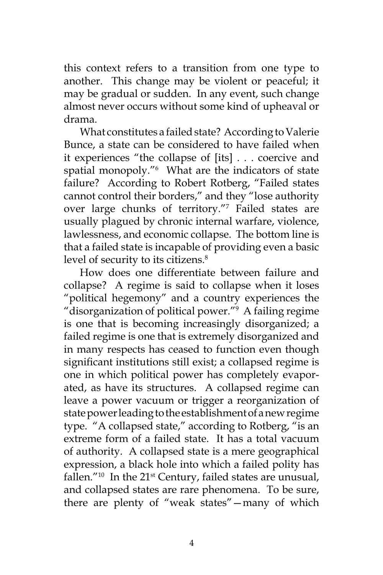this context refers to a transition from one type to another. This change may be violent or peaceful; it may be gradual or sudden. In any event, such change almost never occurs without some kind of upheaval or drama.

What constitutes a failed state? According to Valerie Bunce, a state can be considered to have failed when it experiences "the collapse of [its] . . . coercive and spatial monopoly."6 What are the indicators of state failure? According to Robert Rotberg, "Failed states cannot control their borders," and they "lose authority over large chunks of territory."7 Failed states are usually plagued by chronic internal warfare, violence, lawlessness, and economic collapse. The bottom line is that a failed state is incapable of providing even a basic level of security to its citizens.<sup>8</sup>

How does one differentiate between failure and collapse? A regime is said to collapse when it loses "political hegemony" and a country experiences the "disorganization of political power."9 A failing regime is one that is becoming increasingly disorganized; a failed regime is one that is extremely disorganized and in many respects has ceased to function even though significant institutions still exist; a collapsed regime is one in which political power has completely evaporated, as have its structures. A collapsed regime can leave a power vacuum or trigger a reorganization of state power leading to the establishment of a new regime type. "A collapsed state," according to Rotberg, "is an extreme form of a failed state. It has a total vacuum of authority. A collapsed state is a mere geographical expression, a black hole into which a failed polity has fallen."<sup>10</sup> In the  $21<sup>st</sup>$  Century, failed states are unusual, and collapsed states are rare phenomena. To be sure, there are plenty of "weak states"—many of which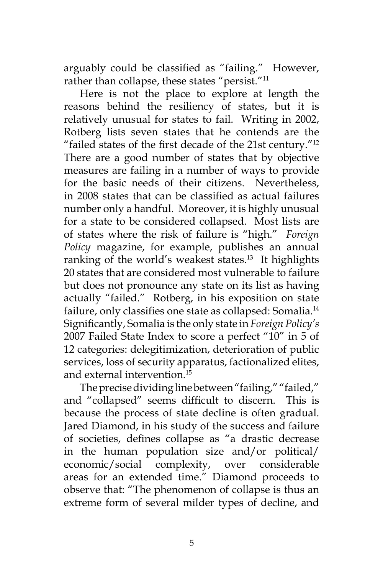arguably could be classified as "failing." However, rather than collapse, these states "persist."<sup>11</sup>

Here is not the place to explore at length the reasons behind the resiliency of states, but it is relatively unusual for states to fail. Writing in 2002, Rotberg lists seven states that he contends are the "failed states of the first decade of the 21st century."<sup>12</sup> There are a good number of states that by objective measures are failing in a number of ways to provide for the basic needs of their citizens. Nevertheless, in 2008 states that can be classified as actual failures number only a handful. Moreover, it is highly unusual for a state to be considered collapsed. Most lists are of states where the risk of failure is "high." *Foreign Policy* magazine, for example, publishes an annual ranking of the world's weakest states.<sup>13</sup> It highlights 20 states that are considered most vulnerable to failure but does not pronounce any state on its list as having actually "failed." Rotberg, in his exposition on state failure, only classifies one state as collapsed: Somalia.<sup>14</sup> Significantly, Somalia is the only state in *Foreign Policy's* 2007 Failed State Index to score a perfect "10" in 5 of 12 categories: delegitimization, deterioration of public services, loss of security apparatus, factionalized elites, and external intervention.15

The precise dividing line between "failing," "failed," and "collapsed" seems difficult to discern. This is because the process of state decline is often gradual. Jared Diamond, in his study of the success and failure of societies, defines collapse as "a drastic decrease in the human population size and/or political/ economic/social complexity, over considerable areas for an extended time." Diamond proceeds to observe that: "The phenomenon of collapse is thus an extreme form of several milder types of decline, and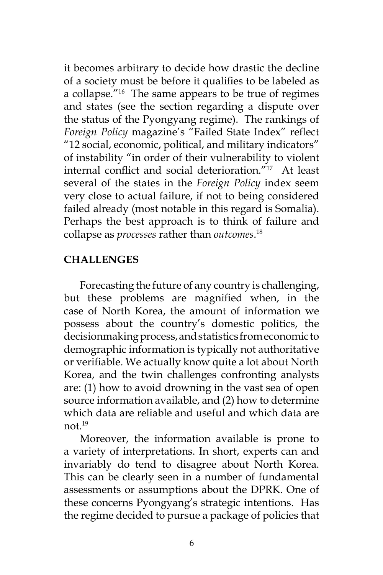it becomes arbitrary to decide how drastic the decline of a society must be before it qualifies to be labeled as a collapse."<sup>16</sup> The same appears to be true of regimes and states (see the section regarding a dispute over the status of the Pyongyang regime). The rankings of *Foreign Policy* magazine's "Failed State Index" reflect "12 social, economic, political, and military indicators" of instability "in order of their vulnerability to violent internal conflict and social deterioration."17 At least several of the states in the *Foreign Policy* index seem very close to actual failure, if not to being considered failed already (most notable in this regard is Somalia). Perhaps the best approach is to think of failure and collapse as *processes* rather than *outcomes*. 18

## **CHALLENGES**

Forecasting the future of any country is challenging, but these problems are magnified when, in the case of North Korea, the amount of information we possess about the country's domestic politics, the decisionmaking process, and statistics from economic to demographic information is typically not authoritative or verifiable. We actually know quite a lot about North Korea, and the twin challenges confronting analysts are: (1) how to avoid drowning in the vast sea of open source information available, and (2) how to determine which data are reliable and useful and which data are not<sup>19</sup>

Moreover, the information available is prone to a variety of interpretations. In short, experts can and invariably do tend to disagree about North Korea. This can be clearly seen in a number of fundamental assessments or assumptions about the DPRK. One of these concerns Pyongyang's strategic intentions. Has the regime decided to pursue a package of policies that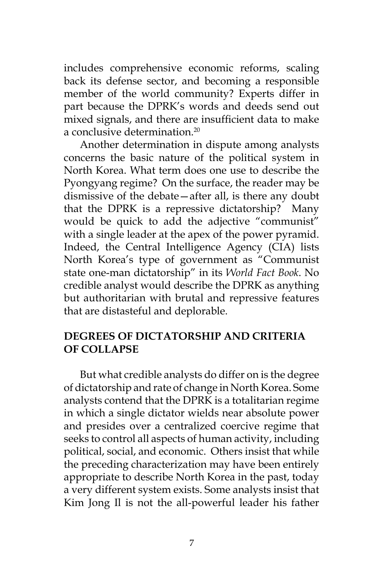includes comprehensive economic reforms, scaling back its defense sector, and becoming a responsible member of the world community? Experts differ in part because the DPRK's words and deeds send out mixed signals, and there are insufficient data to make a conclusive determination.20

Another determination in dispute among analysts concerns the basic nature of the political system in North Korea. What term does one use to describe the Pyongyang regime? On the surface, the reader may be dismissive of the debate—after all, is there any doubt that the DPRK is a repressive dictatorship? Many would be quick to add the adjective "communist" with a single leader at the apex of the power pyramid. Indeed, the Central Intelligence Agency (CIA) lists North Korea's type of government as "Communist state one-man dictatorship" in its *World Fact Book*. No credible analyst would describe the DPRK as anything but authoritarian with brutal and repressive features that are distasteful and deplorable.

#### **DEGREES OF DICTATORSHIP AND CRITERIA OF COLLAPSE**

But what credible analysts do differ on is the degree of dictatorship and rate of change in North Korea. Some analysts contend that the DPRK is a totalitarian regime in which a single dictator wields near absolute power and presides over a centralized coercive regime that seeks to control all aspects of human activity, including political, social, and economic. Others insist that while the preceding characterization may have been entirely appropriate to describe North Korea in the past, today a very different system exists. Some analysts insist that Kim Jong Il is not the all-powerful leader his father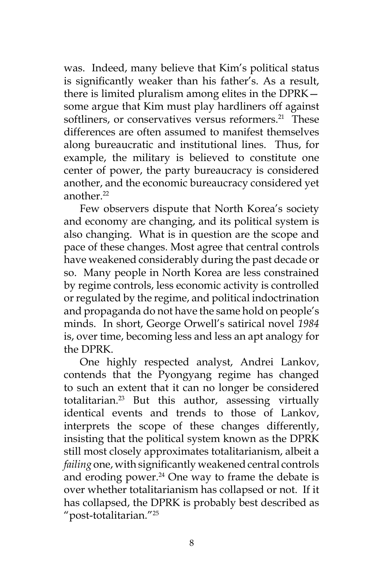was. Indeed, many believe that Kim's political status is significantly weaker than his father's. As a result, there is limited pluralism among elites in the DPRK some argue that Kim must play hardliners off against softliners, or conservatives versus reformers.<sup>21</sup> These differences are often assumed to manifest themselves along bureaucratic and institutional lines. Thus, for example, the military is believed to constitute one center of power, the party bureaucracy is considered another, and the economic bureaucracy considered yet another.<sup>22</sup>

Few observers dispute that North Korea's society and economy are changing, and its political system is also changing. What is in question are the scope and pace of these changes. Most agree that central controls have weakened considerably during the past decade or so. Many people in North Korea are less constrained by regime controls, less economic activity is controlled or regulated by the regime, and political indoctrination and propaganda do not have the same hold on people's minds. In short, George Orwell's satirical novel *1984* is, over time, becoming less and less an apt analogy for the DPRK.

One highly respected analyst, Andrei Lankov, contends that the Pyongyang regime has changed to such an extent that it can no longer be considered totalitarian.23 But this author, assessing virtually identical events and trends to those of Lankov, interprets the scope of these changes differently, insisting that the political system known as the DPRK still most closely approximates totalitarianism, albeit a *failing* one, with significantly weakened central controls and eroding power. $24$  One way to frame the debate is over whether totalitarianism has collapsed or not. If it has collapsed, the DPRK is probably best described as "post-totalitarian."25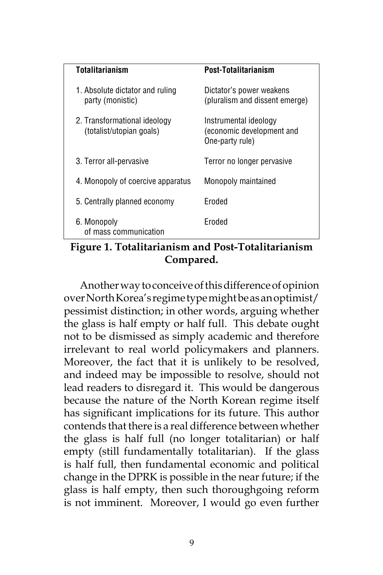| <b>Totalitarianism</b>                                   | Post-Totalitarianism                                                  |
|----------------------------------------------------------|-----------------------------------------------------------------------|
| 1. Absolute dictator and ruling<br>party (monistic)      | Dictator's power weakens<br>(pluralism and dissent emerge)            |
| 2. Transformational ideology<br>(totalist/utopian goals) | Instrumental ideology<br>(economic development and<br>One-party rule) |
| 3. Terror all-pervasive                                  | Terror no longer pervasive                                            |
| 4. Monopoly of coercive apparatus                        | Monopoly maintained                                                   |
| 5. Centrally planned economy                             | Froded                                                                |
| 6. Monopoly<br>of mass communication                     | Froded                                                                |
|                                                          |                                                                       |

# **Figure 1. Totalitarianism and Post-Totalitarianism Compared.**

Another way to conceive of this difference of opinion over North Korea's regime type might be as an optimist/ pessimist distinction; in other words, arguing whether the glass is half empty or half full. This debate ought not to be dismissed as simply academic and therefore irrelevant to real world policymakers and planners. Moreover, the fact that it is unlikely to be resolved, and indeed may be impossible to resolve, should not lead readers to disregard it. This would be dangerous because the nature of the North Korean regime itself has significant implications for its future. This author contends that there is a real difference between whether the glass is half full (no longer totalitarian) or half empty (still fundamentally totalitarian). If the glass is half full, then fundamental economic and political change in the DPRK is possible in the near future; if the glass is half empty, then such thoroughgoing reform is not imminent. Moreover, I would go even further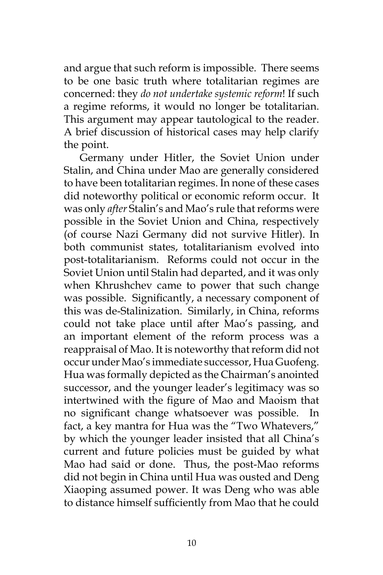and argue that such reform is impossible. There seems to be one basic truth where totalitarian regimes are concerned: they *do not undertake systemic reform*! If such a regime reforms, it would no longer be totalitarian. This argument may appear tautological to the reader. A brief discussion of historical cases may help clarify the point.

Germany under Hitler, the Soviet Union under Stalin, and China under Mao are generally considered to have been totalitarian regimes. In none of these cases did noteworthy political or economic reform occur. It was only *after* Stalin's and Mao's rule that reforms were possible in the Soviet Union and China, respectively (of course Nazi Germany did not survive Hitler). In both communist states, totalitarianism evolved into post-totalitarianism. Reforms could not occur in the Soviet Union until Stalin had departed, and it was only when Khrushchev came to power that such change was possible. Significantly, a necessary component of this was de-Stalinization. Similarly, in China, reforms could not take place until after Mao's passing, and an important element of the reform process was a reappraisal of Mao. It is noteworthy that reform did not occur under Mao's immediate successor, Hua Guofeng. Hua was formally depicted as the Chairman's anointed successor, and the younger leader's legitimacy was so intertwined with the figure of Mao and Maoism that no significant change whatsoever was possible. In fact, a key mantra for Hua was the "Two Whatevers," by which the younger leader insisted that all China's current and future policies must be guided by what Mao had said or done. Thus, the post-Mao reforms did not begin in China until Hua was ousted and Deng Xiaoping assumed power. It was Deng who was able to distance himself sufficiently from Mao that he could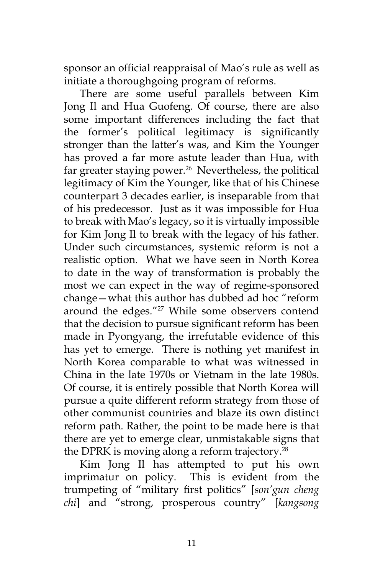sponsor an official reappraisal of Mao's rule as well as initiate a thoroughgoing program of reforms.

There are some useful parallels between Kim Jong Il and Hua Guofeng. Of course, there are also some important differences including the fact that the former's political legitimacy is significantly stronger than the latter's was, and Kim the Younger has proved a far more astute leader than Hua, with far greater staying power.<sup>26</sup> Nevertheless, the political legitimacy of Kim the Younger, like that of his Chinese counterpart 3 decades earlier, is inseparable from that of his predecessor. Just as it was impossible for Hua to break with Mao's legacy, so it is virtually impossible for Kim Jong Il to break with the legacy of his father. Under such circumstances, systemic reform is not a realistic option. What we have seen in North Korea to date in the way of transformation is probably the most we can expect in the way of regime-sponsored change—what this author has dubbed ad hoc "reform around the edges."<sup>27</sup> While some observers contend that the decision to pursue significant reform has been made in Pyongyang, the irrefutable evidence of this has yet to emerge. There is nothing yet manifest in North Korea comparable to what was witnessed in China in the late 1970s or Vietnam in the late 1980s. Of course, it is entirely possible that North Korea will pursue a quite different reform strategy from those of other communist countries and blaze its own distinct reform path. Rather, the point to be made here is that there are yet to emerge clear, unmistakable signs that the DPRK is moving along a reform trajectory.<sup>28</sup>

Kim Jong Il has attempted to put his own imprimatur on policy. This is evident from the trumpeting of "military first politics" [*son'gun cheng chi*] and "strong, prosperous country" [*kangsong*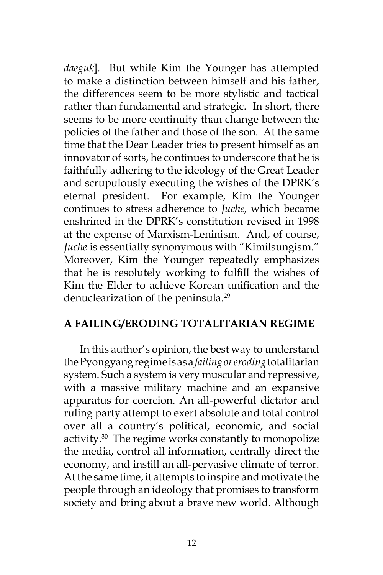*daeguk*]. But while Kim the Younger has attempted to make a distinction between himself and his father, the differences seem to be more stylistic and tactical rather than fundamental and strategic. In short, there seems to be more continuity than change between the policies of the father and those of the son. At the same time that the Dear Leader tries to present himself as an innovator of sorts, he continues to underscore that he is faithfully adhering to the ideology of the Great Leader and scrupulously executing the wishes of the DPRK's eternal president. For example, Kim the Younger continues to stress adherence to *Juche,* which became enshrined in the DPRK's constitution revised in 1998 at the expense of Marxism-Leninism. And, of course, *Juche* is essentially synonymous with "Kimilsungism." Moreover, Kim the Younger repeatedly emphasizes that he is resolutely working to fulfill the wishes of Kim the Elder to achieve Korean unification and the denuclearization of the peninsula.<sup>29</sup>

#### **A FAILING/ERODING TOTALITARIAN REGIME**

In this author's opinion, the best way to understand the Pyongyang regime is as a *failing or eroding* totalitarian system. Such a system is very muscular and repressive, with a massive military machine and an expansive apparatus for coercion. An all-powerful dictator and ruling party attempt to exert absolute and total control over all a country's political, economic, and social activity.<sup>30</sup> The regime works constantly to monopolize the media, control all information, centrally direct the economy, and instill an all-pervasive climate of terror. At the same time, it attempts to inspire and motivate the people through an ideology that promises to transform society and bring about a brave new world. Although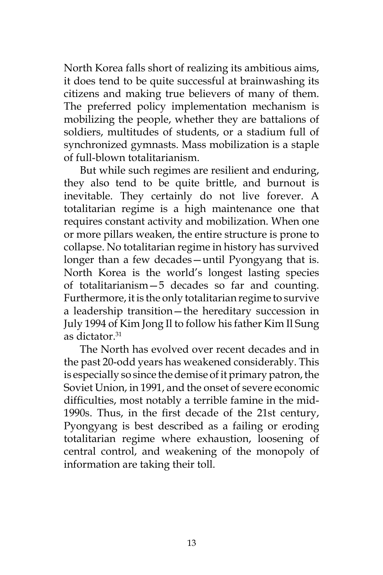North Korea falls short of realizing its ambitious aims, it does tend to be quite successful at brainwashing its citizens and making true believers of many of them. The preferred policy implementation mechanism is mobilizing the people, whether they are battalions of soldiers, multitudes of students, or a stadium full of synchronized gymnasts. Mass mobilization is a staple of full-blown totalitarianism.

But while such regimes are resilient and enduring, they also tend to be quite brittle, and burnout is inevitable. They certainly do not live forever. A totalitarian regime is a high maintenance one that requires constant activity and mobilization. When one or more pillars weaken, the entire structure is prone to collapse. No totalitarian regime in history has survived longer than a few decades—until Pyongyang that is. North Korea is the world's longest lasting species of totalitarianism—5 decades so far and counting. Furthermore, it is the only totalitarian regime to survive a leadership transition—the hereditary succession in July 1994 of Kim Jong Il to follow his father Kim Il Sung as dictator.<sup>31</sup>

The North has evolved over recent decades and in the past 20-odd years has weakened considerably. This is especially so since the demise of it primary patron, the Soviet Union, in 1991, and the onset of severe economic difficulties, most notably a terrible famine in the mid-1990s. Thus, in the first decade of the 21st century, Pyongyang is best described as a failing or eroding totalitarian regime where exhaustion, loosening of central control, and weakening of the monopoly of information are taking their toll.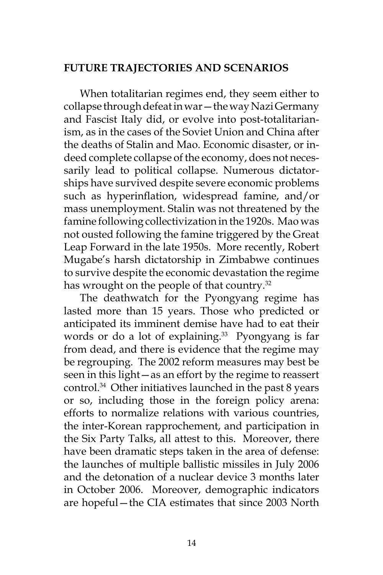#### **FUTURE TRAJECTORIES AND SCENARIOS**

When totalitarian regimes end, they seem either to collapse through defeat in war—the way Nazi Germany and Fascist Italy did, or evolve into post-totalitarianism, as in the cases of the Soviet Union and China after the deaths of Stalin and Mao. Economic disaster, or indeed complete collapse of the economy, does not necessarily lead to political collapse. Numerous dictatorships have survived despite severe economic problems such as hyperinflation, widespread famine, and/or mass unemployment. Stalin was not threatened by the famine following collectivization in the 1920s. Mao was not ousted following the famine triggered by the Great Leap Forward in the late 1950s. More recently, Robert Mugabe's harsh dictatorship in Zimbabwe continues to survive despite the economic devastation the regime has wrought on the people of that country.<sup>32</sup>

The deathwatch for the Pyongyang regime has lasted more than 15 years. Those who predicted or anticipated its imminent demise have had to eat their words or do a lot of explaining.<sup>33</sup> Pyongyang is far from dead, and there is evidence that the regime may be regrouping. The 2002 reform measures may best be seen in this light—as an effort by the regime to reassert control.34 Other initiatives launched in the past 8 years or so, including those in the foreign policy arena: efforts to normalize relations with various countries, the inter-Korean rapprochement, and participation in the Six Party Talks, all attest to this. Moreover, there have been dramatic steps taken in the area of defense: the launches of multiple ballistic missiles in July 2006 and the detonation of a nuclear device 3 months later in October 2006. Moreover, demographic indicators are hopeful—the CIA estimates that since 2003 North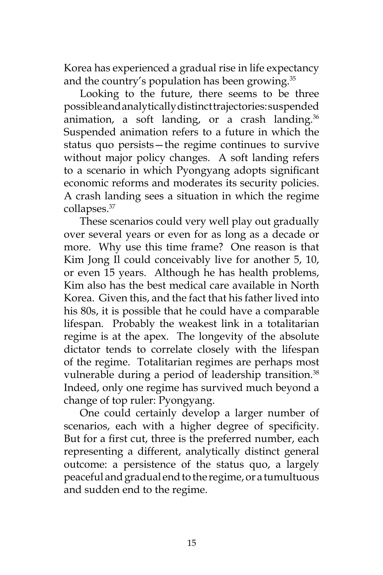Korea has experienced a gradual rise in life expectancy and the country's population has been growing.<sup>35</sup>

Looking to the future, there seems to be three possible and analytically distinct trajectories: suspended animation, a soft landing, or a crash landing. $36$ Suspended animation refers to a future in which the status quo persists—the regime continues to survive without major policy changes. A soft landing refers to a scenario in which Pyongyang adopts significant economic reforms and moderates its security policies. A crash landing sees a situation in which the regime collapses.37

These scenarios could very well play out gradually over several years or even for as long as a decade or more. Why use this time frame? One reason is that Kim Jong Il could conceivably live for another 5, 10, or even 15 years. Although he has health problems, Kim also has the best medical care available in North Korea. Given this, and the fact that his father lived into his 80s, it is possible that he could have a comparable lifespan. Probably the weakest link in a totalitarian regime is at the apex. The longevity of the absolute dictator tends to correlate closely with the lifespan of the regime. Totalitarian regimes are perhaps most vulnerable during a period of leadership transition.<sup>38</sup> Indeed, only one regime has survived much beyond a change of top ruler: Pyongyang.

One could certainly develop a larger number of scenarios, each with a higher degree of specificity. But for a first cut, three is the preferred number, each representing a different, analytically distinct general outcome: a persistence of the status quo, a largely peaceful and gradual end to the regime, or a tumultuous and sudden end to the regime.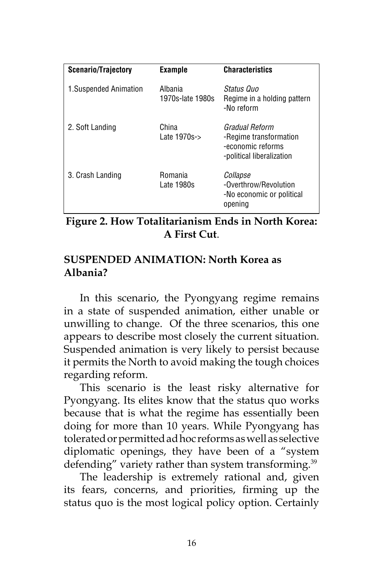| <b>Scenario/Trajectory</b> | <b>Example</b>                    | <b>Characteristics</b>                                                                     |
|----------------------------|-----------------------------------|--------------------------------------------------------------------------------------------|
| 1. Suspended Animation     | Albania<br>1970s-late 1980s       | Status Quo<br>Regime in a holding pattern<br>-No reform                                    |
| 2. Soft Landing            | China<br>Late $1970s \rightarrow$ | Gradual Reform<br>-Regime transformation<br>-economic reforms<br>-political liberalization |
| 3. Crash Landing           | <b>Romania</b><br>Late 1980s      | Collapse<br>-Overthrow/Revolution<br>-No economic or political<br>opening                  |

**Figure 2. How Totalitarianism Ends in North Korea: A First Cut**.

#### **SUSPENDED ANIMATION: North Korea as Albania?**

In this scenario, the Pyongyang regime remains in a state of suspended animation, either unable or unwilling to change. Of the three scenarios, this one appears to describe most closely the current situation. Suspended animation is very likely to persist because it permits the North to avoid making the tough choices regarding reform.

This scenario is the least risky alternative for Pyongyang. Its elites know that the status quo works because that is what the regime has essentially been doing for more than 10 years. While Pyongyang has tolerated or permitted ad hoc reforms as well as selective diplomatic openings, they have been of a "system defending" variety rather than system transforming.<sup>39</sup>

The leadership is extremely rational and, given its fears, concerns, and priorities, firming up the status quo is the most logical policy option. Certainly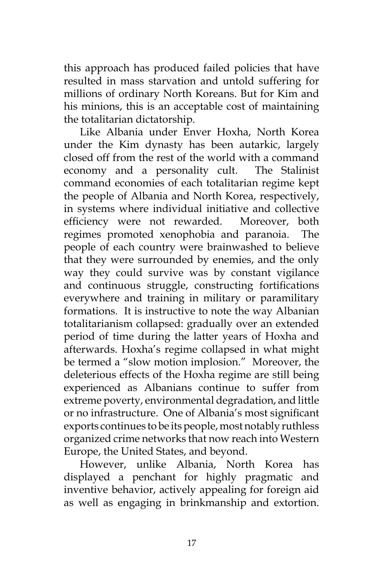this approach has produced failed policies that have resulted in mass starvation and untold suffering for millions of ordinary North Koreans. But for Kim and his minions, this is an acceptable cost of maintaining the totalitarian dictatorship.

Like Albania under Enver Hoxha, North Korea under the Kim dynasty has been autarkic, largely closed off from the rest of the world with a command economy and a personality cult. The Stalinist command economies of each totalitarian regime kept the people of Albania and North Korea, respectively, in systems where individual initiative and collective efficiency were not rewarded. Moreover, both regimes promoted xenophobia and paranoia. The people of each country were brainwashed to believe that they were surrounded by enemies, and the only way they could survive was by constant vigilance and continuous struggle, constructing fortifications everywhere and training in military or paramilitary formations. It is instructive to note the way Albanian totalitarianism collapsed: gradually over an extended period of time during the latter years of Hoxha and afterwards. Hoxha's regime collapsed in what might be termed a "slow motion implosion." Moreover, the deleterious effects of the Hoxha regime are still being experienced as Albanians continue to suffer from extreme poverty, environmental degradation, and little or no infrastructure. One of Albania's most significant exports continues to be its people, most notably ruthless organized crime networks that now reach into Western Europe, the United States, and beyond.

However, unlike Albania, North Korea has displayed a penchant for highly pragmatic and inventive behavior, actively appealing for foreign aid as well as engaging in brinkmanship and extortion.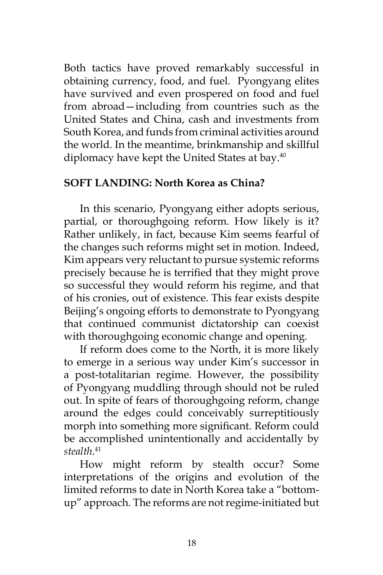Both tactics have proved remarkably successful in obtaining currency, food, and fuel. Pyongyang elites have survived and even prospered on food and fuel from abroad—including from countries such as the United States and China, cash and investments from South Korea, and funds from criminal activities around the world. In the meantime, brinkmanship and skillful diplomacy have kept the United States at bay.<sup>40</sup>

## **SOFT LANDING: North Korea as China?**

In this scenario, Pyongyang either adopts serious, partial, or thoroughgoing reform. How likely is it? Rather unlikely, in fact, because Kim seems fearful of the changes such reforms might set in motion. Indeed, Kim appears very reluctant to pursue systemic reforms precisely because he is terrified that they might prove so successful they would reform his regime, and that of his cronies, out of existence. This fear exists despite Beijing's ongoing efforts to demonstrate to Pyongyang that continued communist dictatorship can coexist with thoroughgoing economic change and opening.

If reform does come to the North, it is more likely to emerge in a serious way under Kim's successor in a post-totalitarian regime. However, the possibility of Pyongyang muddling through should not be ruled out. In spite of fears of thoroughgoing reform, change around the edges could conceivably surreptitiously morph into something more significant. Reform could be accomplished unintentionally and accidentally by *stealth*. 41

How might reform by stealth occur? Some interpretations of the origins and evolution of the limited reforms to date in North Korea take a "bottomup" approach. The reforms are not regime-initiated but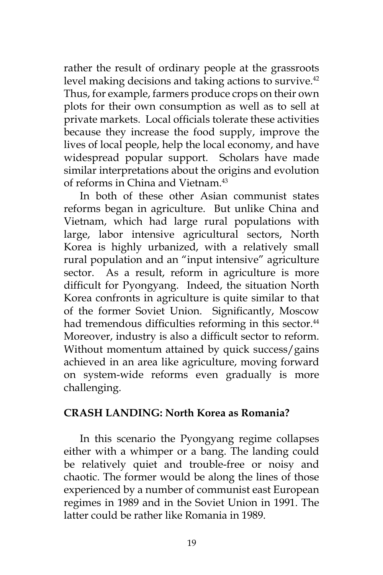rather the result of ordinary people at the grassroots level making decisions and taking actions to survive.<sup>42</sup> Thus, for example, farmers produce crops on their own plots for their own consumption as well as to sell at private markets. Local officials tolerate these activities because they increase the food supply, improve the lives of local people, help the local economy, and have widespread popular support. Scholars have made similar interpretations about the origins and evolution of reforms in China and Vietnam.43

In both of these other Asian communist states reforms began in agriculture. But unlike China and Vietnam, which had large rural populations with large, labor intensive agricultural sectors, North Korea is highly urbanized, with a relatively small rural population and an "input intensive" agriculture sector. As a result, reform in agriculture is more difficult for Pyongyang. Indeed, the situation North Korea confronts in agriculture is quite similar to that of the former Soviet Union. Significantly, Moscow had tremendous difficulties reforming in this sector.<sup>44</sup> Moreover, industry is also a difficult sector to reform. Without momentum attained by quick success/gains achieved in an area like agriculture, moving forward on system-wide reforms even gradually is more challenging.

#### **CRASH LANDING: North Korea as Romania?**

In this scenario the Pyongyang regime collapses either with a whimper or a bang. The landing could be relatively quiet and trouble-free or noisy and chaotic. The former would be along the lines of those experienced by a number of communist east European regimes in 1989 and in the Soviet Union in 1991. The latter could be rather like Romania in 1989.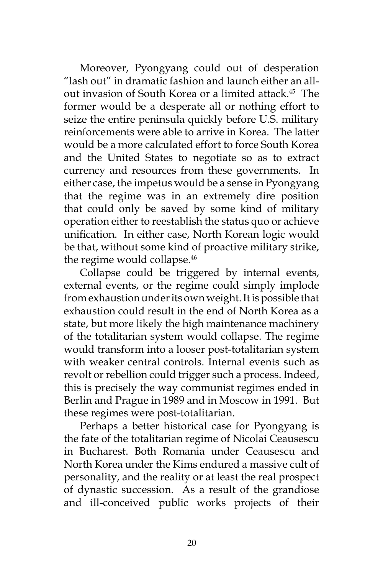Moreover, Pyongyang could out of desperation "lash out" in dramatic fashion and launch either an allout invasion of South Korea or a limited attack.<sup>45</sup> The former would be a desperate all or nothing effort to seize the entire peninsula quickly before U.S. military reinforcements were able to arrive in Korea. The latter would be a more calculated effort to force South Korea and the United States to negotiate so as to extract currency and resources from these governments. In either case, the impetus would be a sense in Pyongyang that the regime was in an extremely dire position that could only be saved by some kind of military operation either to reestablish the status quo or achieve unification. In either case, North Korean logic would be that, without some kind of proactive military strike, the regime would collapse.<sup>46</sup>

Collapse could be triggered by internal events, external events, or the regime could simply implode from exhaustion under its own weight. It is possible that exhaustion could result in the end of North Korea as a state, but more likely the high maintenance machinery of the totalitarian system would collapse. The regime would transform into a looser post-totalitarian system with weaker central controls. Internal events such as revolt or rebellion could trigger such a process. Indeed, this is precisely the way communist regimes ended in Berlin and Prague in 1989 and in Moscow in 1991. But these regimes were post-totalitarian.

Perhaps a better historical case for Pyongyang is the fate of the totalitarian regime of Nicolai Ceausescu in Bucharest. Both Romania under Ceausescu and North Korea under the Kims endured a massive cult of personality, and the reality or at least the real prospect of dynastic succession. As a result of the grandiose and ill-conceived public works projects of their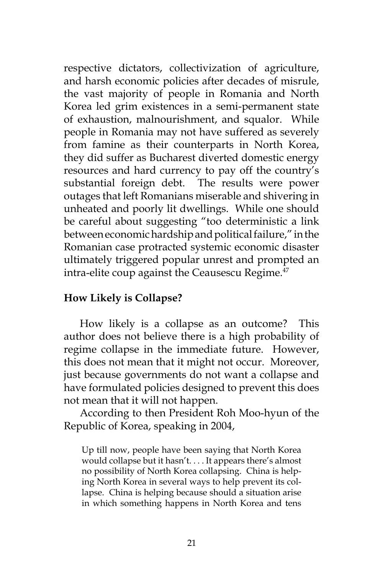respective dictators, collectivization of agriculture, and harsh economic policies after decades of misrule, the vast majority of people in Romania and North Korea led grim existences in a semi-permanent state of exhaustion, malnourishment, and squalor. While people in Romania may not have suffered as severely from famine as their counterparts in North Korea, they did suffer as Bucharest diverted domestic energy resources and hard currency to pay off the country's substantial foreign debt. The results were power outages that left Romanians miserable and shivering in unheated and poorly lit dwellings. While one should be careful about suggesting "too deterministic a link between economic hardship and political failure," in the Romanian case protracted systemic economic disaster ultimately triggered popular unrest and prompted an intra-elite coup against the Ceausescu Regime.<sup>47</sup>

#### **How Likely is Collapse?**

How likely is a collapse as an outcome? This author does not believe there is a high probability of regime collapse in the immediate future. However, this does not mean that it might not occur. Moreover, just because governments do not want a collapse and have formulated policies designed to prevent this does not mean that it will not happen.

According to then President Roh Moo-hyun of the Republic of Korea, speaking in 2004,

Up till now, people have been saying that North Korea would collapse but it hasn't. . . . It appears there's almost no possibility of North Korea collapsing. China is helping North Korea in several ways to help prevent its collapse. China is helping because should a situation arise in which something happens in North Korea and tens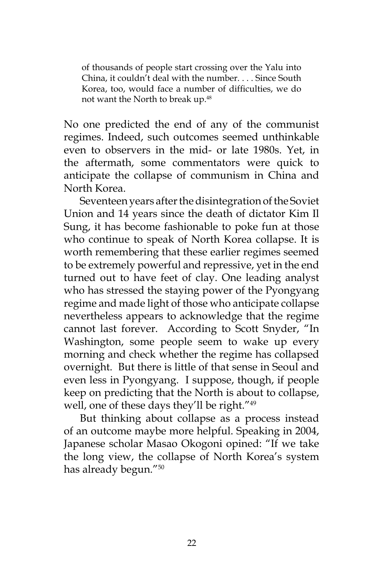of thousands of people start crossing over the Yalu into China, it couldn't deal with the number. . . . Since South Korea, too, would face a number of difficulties, we do not want the North to break up.<sup>48</sup>

No one predicted the end of any of the communist regimes. Indeed, such outcomes seemed unthinkable even to observers in the mid- or late 1980s. Yet, in the aftermath, some commentators were quick to anticipate the collapse of communism in China and North Korea.

Seventeen years after the disintegration of the Soviet Union and 14 years since the death of dictator Kim Il Sung, it has become fashionable to poke fun at those who continue to speak of North Korea collapse. It is worth remembering that these earlier regimes seemed to be extremely powerful and repressive, yet in the end turned out to have feet of clay. One leading analyst who has stressed the staying power of the Pyongyang regime and made light of those who anticipate collapse nevertheless appears to acknowledge that the regime cannot last forever. According to Scott Snyder, "In Washington, some people seem to wake up every morning and check whether the regime has collapsed overnight. But there is little of that sense in Seoul and even less in Pyongyang. I suppose, though, if people keep on predicting that the North is about to collapse, well, one of these days they'll be right."<sup>49</sup>

But thinking about collapse as a process instead of an outcome maybe more helpful. Speaking in 2004, Japanese scholar Masao Okogoni opined: "If we take the long view, the collapse of North Korea's system has already begun."50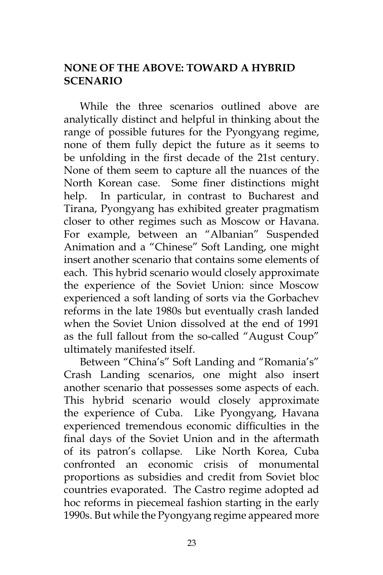# **NONE OF THE ABOVE: TOWARD A HYBRID SCENARIO**

While the three scenarios outlined above are analytically distinct and helpful in thinking about the range of possible futures for the Pyongyang regime, none of them fully depict the future as it seems to be unfolding in the first decade of the 21st century. None of them seem to capture all the nuances of the North Korean case. Some finer distinctions might help. In particular, in contrast to Bucharest and Tirana, Pyongyang has exhibited greater pragmatism closer to other regimes such as Moscow or Havana. For example, between an "Albanian" Suspended Animation and a "Chinese" Soft Landing, one might insert another scenario that contains some elements of each. This hybrid scenario would closely approximate the experience of the Soviet Union: since Moscow experienced a soft landing of sorts via the Gorbachev reforms in the late 1980s but eventually crash landed when the Soviet Union dissolved at the end of 1991 as the full fallout from the so-called "August Coup" ultimately manifested itself.

Between "China's" Soft Landing and "Romania's" Crash Landing scenarios, one might also insert another scenario that possesses some aspects of each. This hybrid scenario would closely approximate the experience of Cuba. Like Pyongyang, Havana experienced tremendous economic difficulties in the final days of the Soviet Union and in the aftermath of its patron's collapse. Like North Korea, Cuba confronted an economic crisis of monumental proportions as subsidies and credit from Soviet bloc countries evaporated. The Castro regime adopted ad hoc reforms in piecemeal fashion starting in the early 1990s. But while the Pyongyang regime appeared more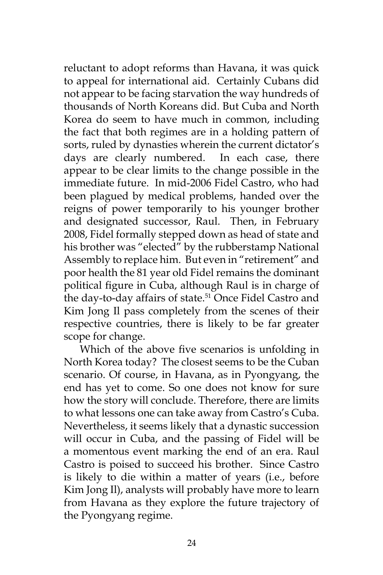reluctant to adopt reforms than Havana, it was quick to appeal for international aid. Certainly Cubans did not appear to be facing starvation the way hundreds of thousands of North Koreans did. But Cuba and North Korea do seem to have much in common, including the fact that both regimes are in a holding pattern of sorts, ruled by dynasties wherein the current dictator's days are clearly numbered. In each case, there appear to be clear limits to the change possible in the immediate future. In mid-2006 Fidel Castro, who had been plagued by medical problems, handed over the reigns of power temporarily to his younger brother and designated successor, Raul. Then, in February 2008, Fidel formally stepped down as head of state and his brother was "elected" by the rubberstamp National Assembly to replace him. But even in "retirement" and poor health the 81 year old Fidel remains the dominant political figure in Cuba, although Raul is in charge of the day-to-day affairs of state.<sup>51</sup> Once Fidel Castro and Kim Jong Il pass completely from the scenes of their respective countries, there is likely to be far greater scope for change.

Which of the above five scenarios is unfolding in North Korea today? The closest seems to be the Cuban scenario. Of course, in Havana, as in Pyongyang, the end has yet to come. So one does not know for sure how the story will conclude. Therefore, there are limits to what lessons one can take away from Castro's Cuba. Nevertheless, it seems likely that a dynastic succession will occur in Cuba, and the passing of Fidel will be a momentous event marking the end of an era. Raul Castro is poised to succeed his brother. Since Castro is likely to die within a matter of years (i.e., before Kim Jong Il), analysts will probably have more to learn from Havana as they explore the future trajectory of the Pyongyang regime.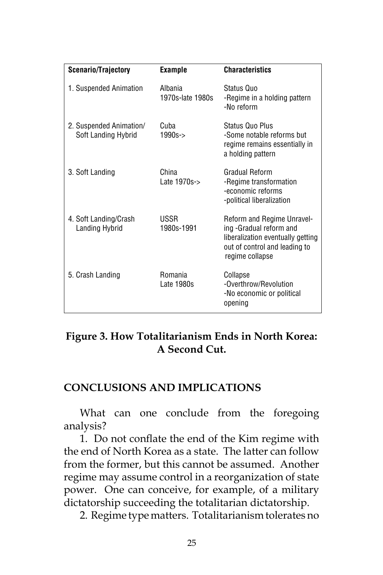| <b>Scenario/Trajectory</b>                     | <b>Example</b>              | <b>Characteristics</b>                                                                                                                                |
|------------------------------------------------|-----------------------------|-------------------------------------------------------------------------------------------------------------------------------------------------------|
| 1. Suspended Animation                         | Albania<br>1970s-late 1980s | Status Quo<br>-Regime in a holding pattern<br>-No reform                                                                                              |
| 2. Suspended Animation/<br>Soft Landing Hybrid | Cuba<br>1990s->             | Status Quo Plus<br>-Some notable reforms but<br>regime remains essentially in<br>a holding pattern                                                    |
| 3. Soft Landing                                | China<br>Late 1970s->       | Gradual Reform<br>-Regime transformation<br>-economic reforms<br>-political liberalization                                                            |
| 4. Soft Landing/Crash<br>Landing Hybrid        | USSR<br>1980s-1991          | <b>Reform and Regime Unravel-</b><br>ing -Gradual reform and<br>liberalization eventually getting<br>out of control and leading to<br>regime collapse |
| 5. Crash Landing                               | Romania<br>Late 1980s       | Collapse<br>-Overthrow/Revolution<br>-No economic or political<br>opening                                                                             |

## **Figure 3. How Totalitarianism Ends in North Korea: A Second Cut.**

## **CONCLUSIONS AND IMPLICATIONS**

What can one conclude from the foregoing analysis?

1. Do not conflate the end of the Kim regime with the end of North Korea as a state. The latter can follow from the former, but this cannot be assumed. Another regime may assume control in a reorganization of state power. One can conceive, for example, of a military dictatorship succeeding the totalitarian dictatorship.

2. Regime type matters. Totalitarianism tolerates no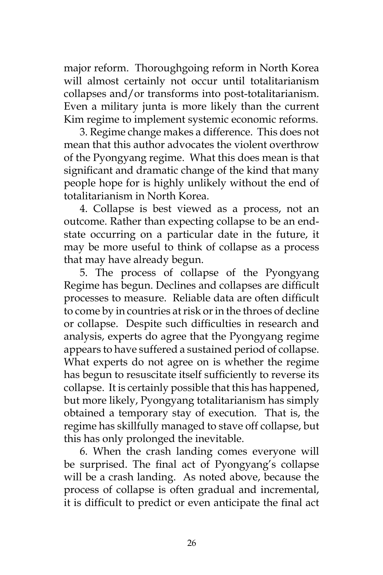major reform. Thoroughgoing reform in North Korea will almost certainly not occur until totalitarianism collapses and/or transforms into post-totalitarianism. Even a military junta is more likely than the current Kim regime to implement systemic economic reforms.

3. Regime change makes a difference. This does not mean that this author advocates the violent overthrow of the Pyongyang regime. What this does mean is that significant and dramatic change of the kind that many people hope for is highly unlikely without the end of totalitarianism in North Korea.

4. Collapse is best viewed as a process, not an outcome. Rather than expecting collapse to be an endstate occurring on a particular date in the future, it may be more useful to think of collapse as a process that may have already begun.

5. The process of collapse of the Pyongyang Regime has begun. Declines and collapses are difficult processes to measure. Reliable data are often difficult to come by in countries at risk or in the throes of decline or collapse. Despite such difficulties in research and analysis, experts do agree that the Pyongyang regime appears to have suffered a sustained period of collapse. What experts do not agree on is whether the regime has begun to resuscitate itself sufficiently to reverse its collapse. It is certainly possible that this has happened, but more likely, Pyongyang totalitarianism has simply obtained a temporary stay of execution. That is, the regime has skillfully managed to stave off collapse, but this has only prolonged the inevitable.

6. When the crash landing comes everyone will be surprised. The final act of Pyongyang's collapse will be a crash landing. As noted above, because the process of collapse is often gradual and incremental, it is difficult to predict or even anticipate the final act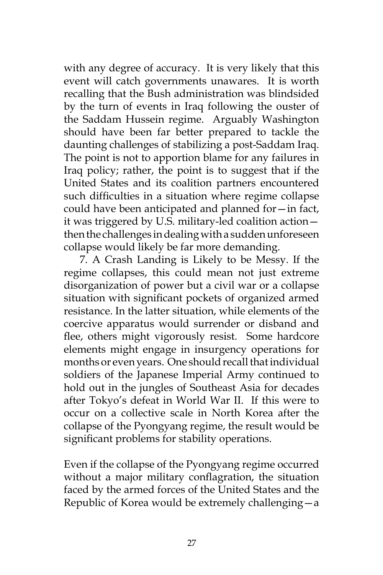with any degree of accuracy. It is very likely that this event will catch governments unawares. It is worth recalling that the Bush administration was blindsided by the turn of events in Iraq following the ouster of the Saddam Hussein regime. Arguably Washington should have been far better prepared to tackle the daunting challenges of stabilizing a post-Saddam Iraq. The point is not to apportion blame for any failures in Iraq policy; rather, the point is to suggest that if the United States and its coalition partners encountered such difficulties in a situation where regime collapse could have been anticipated and planned for—in fact, it was triggered by U.S. military-led coalition action then the challenges in dealing with a sudden unforeseen collapse would likely be far more demanding.

7. A Crash Landing is Likely to be Messy. If the regime collapses, this could mean not just extreme disorganization of power but a civil war or a collapse situation with significant pockets of organized armed resistance. In the latter situation, while elements of the coercive apparatus would surrender or disband and flee, others might vigorously resist. Some hardcore elements might engage in insurgency operations for months or even years. One should recall that individual soldiers of the Japanese Imperial Army continued to hold out in the jungles of Southeast Asia for decades after Tokyo's defeat in World War II. If this were to occur on a collective scale in North Korea after the collapse of the Pyongyang regime, the result would be significant problems for stability operations.

Even if the collapse of the Pyongyang regime occurred without a major military conflagration, the situation faced by the armed forces of the United States and the Republic of Korea would be extremely challenging—a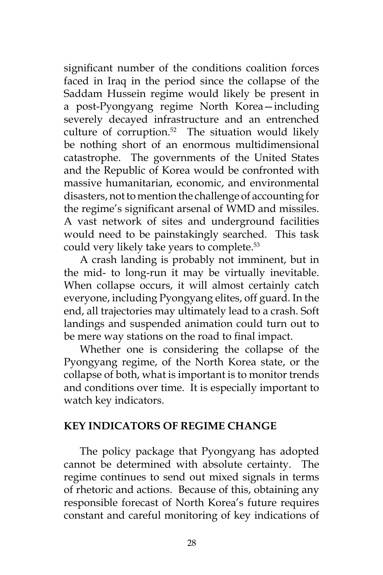significant number of the conditions coalition forces faced in Iraq in the period since the collapse of the Saddam Hussein regime would likely be present in a post-Pyongyang regime North Korea—including severely decayed infrastructure and an entrenched culture of corruption.<sup>52</sup> The situation would likely be nothing short of an enormous multidimensional catastrophe. The governments of the United States and the Republic of Korea would be confronted with massive humanitarian, economic, and environmental disasters, not to mention the challenge of accounting for the regime's significant arsenal of WMD and missiles. A vast network of sites and underground facilities would need to be painstakingly searched. This task could very likely take years to complete.<sup>53</sup>

A crash landing is probably not imminent, but in the mid- to long-run it may be virtually inevitable. When collapse occurs, it will almost certainly catch everyone, including Pyongyang elites, off guard. In the end, all trajectories may ultimately lead to a crash. Soft landings and suspended animation could turn out to be mere way stations on the road to final impact.

Whether one is considering the collapse of the Pyongyang regime, of the North Korea state, or the collapse of both, what is important is to monitor trends and conditions over time. It is especially important to watch key indicators.

#### **KEY INDICATORS OF REGIME CHANGE**

The policy package that Pyongyang has adopted cannot be determined with absolute certainty. The regime continues to send out mixed signals in terms of rhetoric and actions. Because of this, obtaining any responsible forecast of North Korea's future requires constant and careful monitoring of key indications of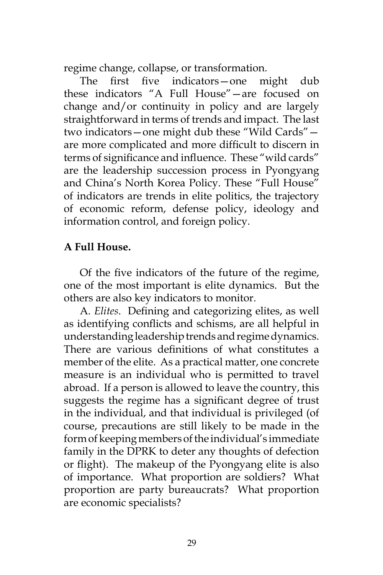regime change, collapse, or transformation.

The first five indicators—one might dub these indicators "A Full House"—are focused on change and/or continuity in policy and are largely straightforward in terms of trends and impact. The last two indicators—one might dub these "Wild Cards" are more complicated and more difficult to discern in terms of significance and influence. These "wild cards" are the leadership succession process in Pyongyang and China's North Korea Policy. These "Full House" of indicators are trends in elite politics, the trajectory of economic reform, defense policy, ideology and information control, and foreign policy.

## **A Full House.**

Of the five indicators of the future of the regime, one of the most important is elite dynamics. But the others are also key indicators to monitor.

A. *Elites*. Defining and categorizing elites, as well as identifying conflicts and schisms, are all helpful in understanding leadership trends and regime dynamics. There are various definitions of what constitutes a member of the elite. As a practical matter, one concrete measure is an individual who is permitted to travel abroad. If a person is allowed to leave the country, this suggests the regime has a significant degree of trust in the individual, and that individual is privileged (of course, precautions are still likely to be made in the form of keeping members of the individual's immediate family in the DPRK to deter any thoughts of defection or flight). The makeup of the Pyongyang elite is also of importance. What proportion are soldiers? What proportion are party bureaucrats? What proportion are economic specialists?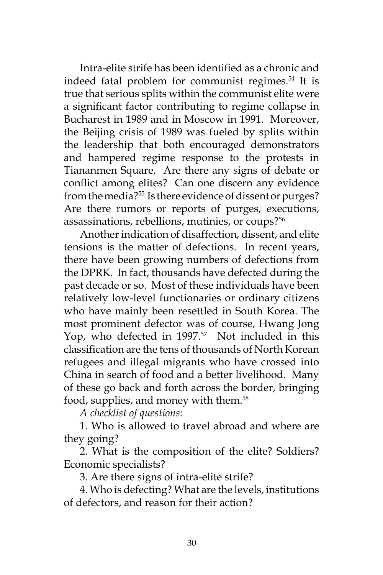Intra-elite strife has been identified as a chronic and indeed fatal problem for communist regimes.<sup>54</sup> It is true that serious splits within the communist elite were a significant factor contributing to regime collapse in Bucharest in 1989 and in Moscow in 1991. Moreover, the Beijing crisis of 1989 was fueled by splits within the leadership that both encouraged demonstrators and hampered regime response to the protests in Tiananmen Square. Are there any signs of debate or conflict among elites? Can one discern any evidence from the media?<sup>55</sup> Is there evidence of dissent or purges? Are there rumors or reports of purges, executions, assassinations, rebellions, mutinies, or coups?<sup>56</sup>

Another indication of disaffection, dissent, and elite tensions is the matter of defections. In recent years, there have been growing numbers of defections from the DPRK. In fact, thousands have defected during the past decade or so. Most of these individuals have been relatively low-level functionaries or ordinary citizens who have mainly been resettled in South Korea. The most prominent defector was of course, Hwang Jong Yop, who defected in 1997.<sup>57</sup> Not included in this classification are the tens of thousands of North Korean refugees and illegal migrants who have crossed into China in search of food and a better livelihood. Many of these go back and forth across the border, bringing food, supplies, and money with them.<sup>58</sup>

*A checklist of questions*:

1. Who is allowed to travel abroad and where are they going?

2. What is the composition of the elite? Soldiers? Economic specialists?

3. Are there signs of intra-elite strife?

4. Who is defecting? What are the levels, institutions of defectors, and reason for their action?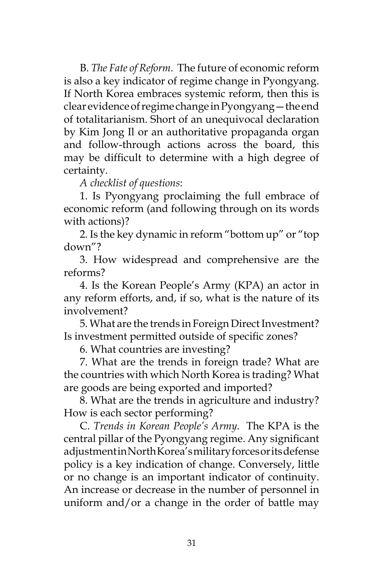B. *The Fate of Reform*. The future of economic reform is also a key indicator of regime change in Pyongyang. If North Korea embraces systemic reform, then this is clear evidence of regime change in Pyongyang—the end of totalitarianism. Short of an unequivocal declaration by Kim Jong Il or an authoritative propaganda organ and follow-through actions across the board, this may be difficult to determine with a high degree of certainty.

*A checklist of questions*:

1. Is Pyongyang proclaiming the full embrace of economic reform (and following through on its words with actions)?

2. Is the key dynamic in reform "bottom up" or "top down"?

3. How widespread and comprehensive are the reforms?

4. Is the Korean People's Army (KPA) an actor in any reform efforts, and, if so, what is the nature of its involvement?

5. What are the trends in Foreign Direct Investment? Is investment permitted outside of specific zones?

6. What countries are investing?

7. What are the trends in foreign trade? What are the countries with which North Korea is trading? What are goods are being exported and imported?

8. What are the trends in agriculture and industry? How is each sector performing?

C. *Trends in Korean People's Army*. The KPA is the central pillar of the Pyongyang regime. Any significant adjustment in North Korea's military forces or its defense policy is a key indication of change. Conversely, little or no change is an important indicator of continuity. An increase or decrease in the number of personnel in uniform and/or a change in the order of battle may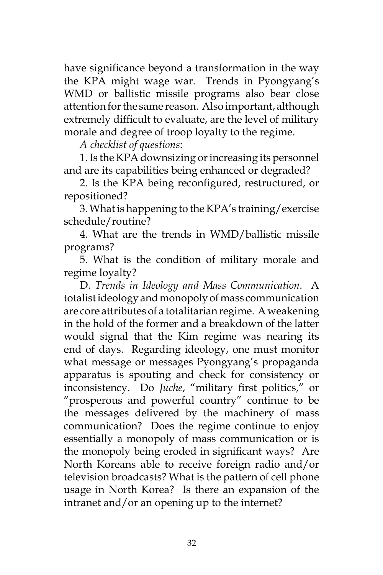have significance beyond a transformation in the way the KPA might wage war. Trends in Pyongyang's WMD or ballistic missile programs also bear close attention for the same reason. Also important, although extremely difficult to evaluate, are the level of military morale and degree of troop loyalty to the regime.

*A checklist of questions*:

1. Is the KPA downsizing or increasing its personnel and are its capabilities being enhanced or degraded?

2. Is the KPA being reconfigured, restructured, or repositioned?

3. What is happening to the KPA's training/exercise schedule/routine?

4. What are the trends in WMD/ballistic missile programs?

5. What is the condition of military morale and regime loyalty?

D. *Trends in Ideology and Mass Communication*. A totalist ideology and monopoly of mass communication are core attributes of a totalitarian regime. A weakening in the hold of the former and a breakdown of the latter would signal that the Kim regime was nearing its end of days. Regarding ideology, one must monitor what message or messages Pyongyang's propaganda apparatus is spouting and check for consistency or inconsistency. Do *Juche*, "military first politics," or "prosperous and powerful country" continue to be the messages delivered by the machinery of mass communication? Does the regime continue to enjoy essentially a monopoly of mass communication or is the monopoly being eroded in significant ways? Are North Koreans able to receive foreign radio and/or television broadcasts? What is the pattern of cell phone usage in North Korea? Is there an expansion of the intranet and/or an opening up to the internet?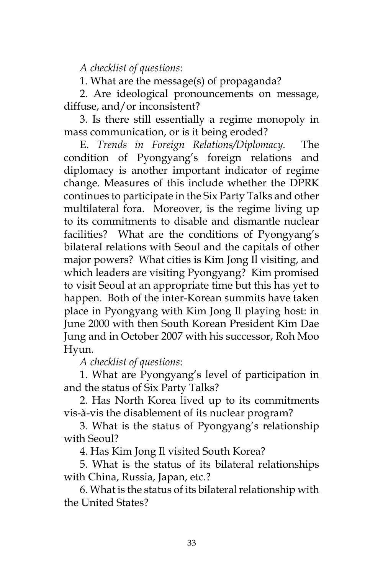*A checklist of questions*:

1. What are the message(s) of propaganda?

2. Are ideological pronouncements on message, diffuse, and/or inconsistent?

3. Is there still essentially a regime monopoly in mass communication, or is it being eroded?

E. *Trends in Foreign Relations/Diplomacy.* The condition of Pyongyang's foreign relations and diplomacy is another important indicator of regime change. Measures of this include whether the DPRK continues to participate in the Six Party Talks and other multilateral fora. Moreover, is the regime living up to its commitments to disable and dismantle nuclear facilities? What are the conditions of Pyongyang's bilateral relations with Seoul and the capitals of other major powers? What cities is Kim Jong Il visiting, and which leaders are visiting Pyongyang? Kim promised to visit Seoul at an appropriate time but this has yet to happen. Both of the inter-Korean summits have taken place in Pyongyang with Kim Jong Il playing host: in June 2000 with then South Korean President Kim Dae Jung and in October 2007 with his successor, Roh Moo Hyun.

*A checklist of questions*:

1. What are Pyongyang's level of participation in and the status of Six Party Talks?

2. Has North Korea lived up to its commitments vis-à-vis the disablement of its nuclear program?

3. What is the status of Pyongyang's relationship with Seoul?

4. Has Kim Jong Il visited South Korea?

5. What is the status of its bilateral relationships with China, Russia, Japan, etc.?

6. What is the status of its bilateral relationship with the United States?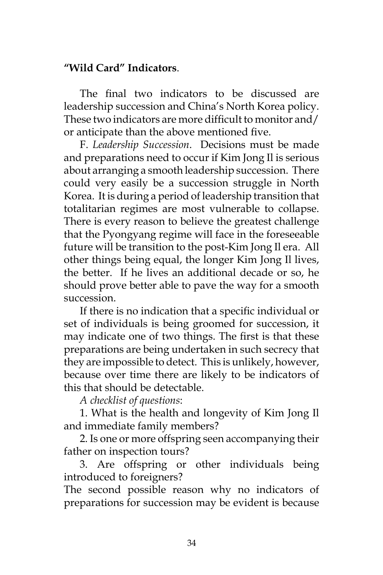## **"Wild Card" Indicators**.

The final two indicators to be discussed are leadership succession and China's North Korea policy. These two indicators are more difficult to monitor and/ or anticipate than the above mentioned five.

F. *Leadership Succession*. Decisions must be made and preparations need to occur if Kim Jong Il is serious about arranging a smooth leadership succession. There could very easily be a succession struggle in North Korea. It is during a period of leadership transition that totalitarian regimes are most vulnerable to collapse. There is every reason to believe the greatest challenge that the Pyongyang regime will face in the foreseeable future will be transition to the post-Kim Jong Il era. All other things being equal, the longer Kim Jong Il lives, the better. If he lives an additional decade or so, he should prove better able to pave the way for a smooth succession.

If there is no indication that a specific individual or set of individuals is being groomed for succession, it may indicate one of two things. The first is that these preparations are being undertaken in such secrecy that they are impossible to detect. This is unlikely, however, because over time there are likely to be indicators of this that should be detectable.

*A checklist of questions*:

1. What is the health and longevity of Kim Jong Il and immediate family members?

2. Is one or more offspring seen accompanying their father on inspection tours?

3. Are offspring or other individuals being introduced to foreigners?

The second possible reason why no indicators of preparations for succession may be evident is because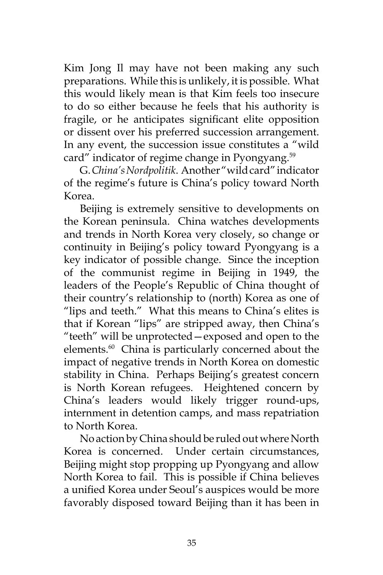Kim Jong Il may have not been making any such preparations. While this is unlikely, it is possible. What this would likely mean is that Kim feels too insecure to do so either because he feels that his authority is fragile, or he anticipates significant elite opposition or dissent over his preferred succession arrangement. In any event, the succession issue constitutes a "wild card" indicator of regime change in Pyongyang.<sup>59</sup>

G. *China's Nordpolitik*. Another "wild card" indicator of the regime's future is China's policy toward North Korea.

Beijing is extremely sensitive to developments on the Korean peninsula. China watches developments and trends in North Korea very closely, so change or continuity in Beijing's policy toward Pyongyang is a key indicator of possible change. Since the inception of the communist regime in Beijing in 1949, the leaders of the People's Republic of China thought of their country's relationship to (north) Korea as one of "lips and teeth." What this means to China's elites is that if Korean "lips" are stripped away, then China's "teeth" will be unprotected—exposed and open to the elements.<sup>60</sup> China is particularly concerned about the impact of negative trends in North Korea on domestic stability in China. Perhaps Beijing's greatest concern is North Korean refugees. Heightened concern by China's leaders would likely trigger round-ups, internment in detention camps, and mass repatriation to North Korea.

No action by China should be ruled out where North Korea is concerned. Under certain circumstances, Beijing might stop propping up Pyongyang and allow North Korea to fail. This is possible if China believes a unified Korea under Seoul's auspices would be more favorably disposed toward Beijing than it has been in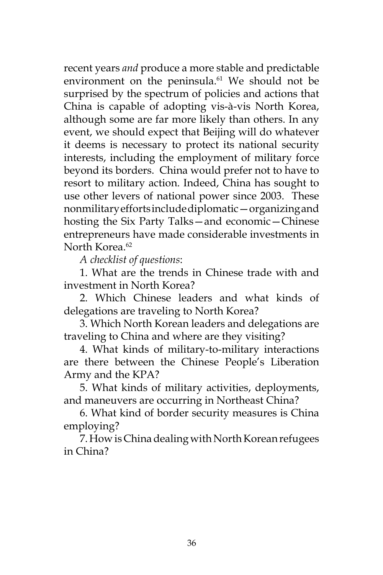recent years *and* produce a more stable and predictable environment on the peninsula.<sup>61</sup> We should not be surprised by the spectrum of policies and actions that China is capable of adopting vis-à-vis North Korea, although some are far more likely than others. In any event, we should expect that Beijing will do whatever it deems is necessary to protect its national security interests, including the employment of military force beyond its borders. China would prefer not to have to resort to military action. Indeed, China has sought to use other levers of national power since 2003. These nonmilitary efforts include diplomatic—organizing and hosting the Six Party Talks—and economic—Chinese entrepreneurs have made considerable investments in North Korea<sup>62</sup>

*A checklist of questions*:

1. What are the trends in Chinese trade with and investment in North Korea?

2. Which Chinese leaders and what kinds of delegations are traveling to North Korea?

3. Which North Korean leaders and delegations are traveling to China and where are they visiting?

4. What kinds of military-to-military interactions are there between the Chinese People's Liberation Army and the KPA?

5. What kinds of military activities, deployments, and maneuvers are occurring in Northeast China?

6. What kind of border security measures is China employing?

7. How is China dealing with North Korean refugees in China?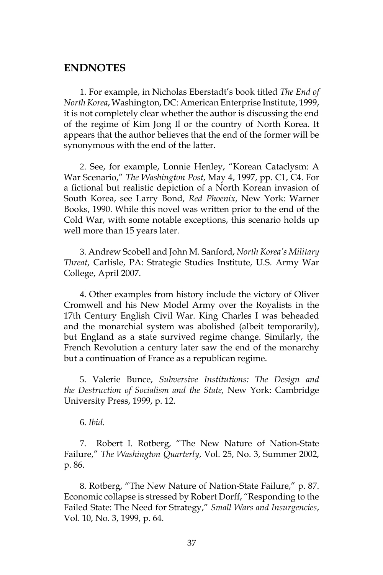#### **ENDNOTES**

1. For example, in Nicholas Eberstadt's book titled *The End of North Korea*, Washington, DC: American Enterprise Institute, 1999, it is not completely clear whether the author is discussing the end of the regime of Kim Jong Il or the country of North Korea. It appears that the author believes that the end of the former will be synonymous with the end of the latter.

2. See, for example, Lonnie Henley, "Korean Cataclysm: A War Scenario," *The Washington Post*, May 4, 1997, pp. C1, C4. For a fictional but realistic depiction of a North Korean invasion of South Korea, see Larry Bond, *Red Phoenix*, New York: Warner Books, 1990. While this novel was written prior to the end of the Cold War, with some notable exceptions, this scenario holds up well more than 15 years later.

3. Andrew Scobell and John M. Sanford, *North Korea's Military Threat*, Carlisle, PA: Strategic Studies Institute, U.S. Army War College, April 2007.

4. Other examples from history include the victory of Oliver Cromwell and his New Model Army over the Royalists in the 17th Century English Civil War. King Charles I was beheaded and the monarchial system was abolished (albeit temporarily), but England as a state survived regime change. Similarly, the French Revolution a century later saw the end of the monarchy but a continuation of France as a republican regime.

5. Valerie Bunce, *Subversive Institutions: The Design and the Destruction of Socialism and the State,* New York: Cambridge University Press, 1999, p. 12.

6. *Ibid*.

7. Robert I. Rotberg, "The New Nature of Nation-State Failure," *The Washington Quarterly*, Vol. 25, No. 3, Summer 2002, p. 86.

8. Rotberg, "The New Nature of Nation-State Failure," p. 87. Economic collapse is stressed by Robert Dorff, "Responding to the Failed State: The Need for Strategy," *Small Wars and Insurgencies*, Vol. 10, No. 3, 1999, p. 64.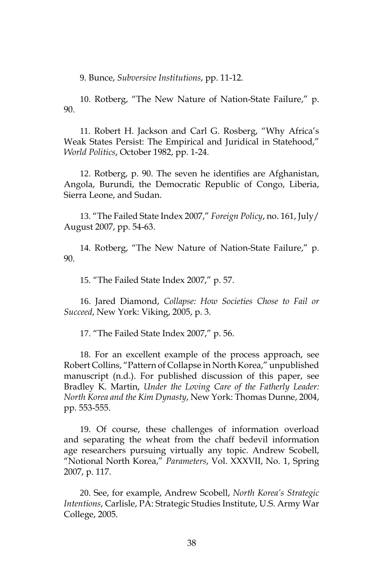9. Bunce, *Subversive Institutions*, pp. 11-12.

10. Rotberg, "The New Nature of Nation-State Failure," p. 90.

11. Robert H. Jackson and Carl G. Rosberg, "Why Africa's Weak States Persist: The Empirical and Juridical in Statehood," *World Politics*, October 1982, pp. 1-24.

12. Rotberg, p. 90. The seven he identifies are Afghanistan, Angola, Burundi, the Democratic Republic of Congo, Liberia, Sierra Leone, and Sudan.

13. "The Failed State Index 2007," *Foreign Policy*, no. 161, July/ August 2007, pp. 54-63.

14. Rotberg, "The New Nature of Nation-State Failure," p. 90.

15. "The Failed State Index 2007," p. 57.

16. Jared Diamond, *Collapse: How Societies Chose to Fail or Succeed*, New York: Viking, 2005, p. 3.

17. "The Failed State Index 2007," p. 56.

18. For an excellent example of the process approach, see Robert Collins, "Pattern of Collapse in North Korea," unpublished manuscript (n.d.). For published discussion of this paper, see Bradley K. Martin, *Under the Loving Care of the Fatherly Leader: North Korea and the Kim Dynasty*, New York: Thomas Dunne, 2004, pp. 553-555.

19. Of course, these challenges of information overload and separating the wheat from the chaff bedevil information age researchers pursuing virtually any topic. Andrew Scobell, "Notional North Korea," *Parameters*, Vol. XXXVII, No. 1, Spring 2007, p. 117.

20. See, for example, Andrew Scobell, *North Korea's Strategic Intentions*, Carlisle, PA: Strategic Studies Institute, U.S. Army War College, 2005.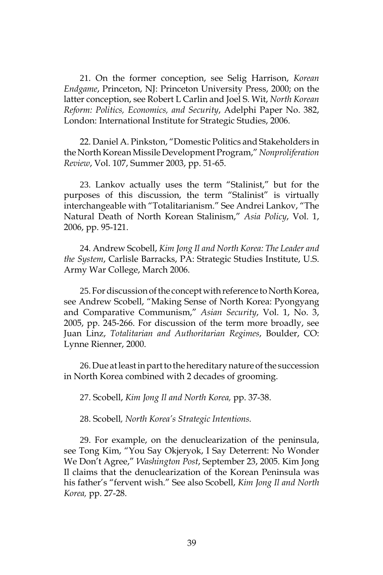21. On the former conception, see Selig Harrison, *Korean Endgame*, Princeton, NJ: Princeton University Press, 2000; on the latter conception, see Robert L Carlin and Joel S. Wit, *North Korean Reform: Politics, Economics, and Security*, Adelphi Paper No. 382, London: International Institute for Strategic Studies, 2006.

22. Daniel A. Pinkston, "Domestic Politics and Stakeholders in the North Korean Missile Development Program," *Nonproliferation Review*, Vol. 107, Summer 2003, pp. 51-65.

23. Lankov actually uses the term "Stalinist," but for the purposes of this discussion, the term "Stalinist" is virtually interchangeable with "Totalitarianism." See Andrei Lankov, "The Natural Death of North Korean Stalinism," *Asia Policy*, Vol. 1, 2006, pp. 95-121.

24. Andrew Scobell, *Kim Jong Il and North Korea: The Leader and the System*, Carlisle Barracks, PA: Strategic Studies Institute, U.S. Army War College, March 2006.

25. For discussion of the concept with reference to North Korea, see Andrew Scobell, "Making Sense of North Korea: Pyongyang and Comparative Communism," *Asian Security*, Vol. 1, No. 3, 2005, pp. 245-266. For discussion of the term more broadly, see Juan Linz, *Totalitarian and Authoritarian Regimes*, Boulder, CO: Lynne Rienner, 2000.

26. Due at least in part to the hereditary nature of the succession in North Korea combined with 2 decades of grooming.

27. Scobell, *Kim Jong Il and North Korea,* pp. 37-38.

28. Scobell*, North Korea's Strategic Intentions.*

29. For example, on the denuclearization of the peninsula, see Tong Kim, "You Say Okjeryok, I Say Deterrent: No Wonder We Don't Agree," *Washington Post*, September 23, 2005. Kim Jong Il claims that the denuclearization of the Korean Peninsula was his father's "fervent wish." See also Scobell, *Kim Jong Il and North Korea,* pp. 27-28.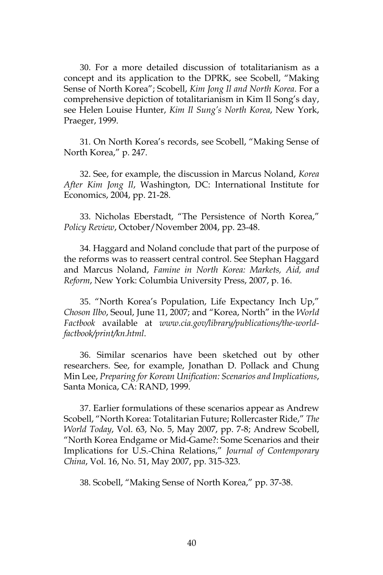30. For a more detailed discussion of totalitarianism as a concept and its application to the DPRK, see Scobell, "Making Sense of North Korea"; Scobell, *Kim Jong Il and North Korea*. For a comprehensive depiction of totalitarianism in Kim Il Song's day, see Helen Louise Hunter, *Kim Il Sung's North Korea*, New York, Praeger, 1999.

31. On North Korea's records, see Scobell, "Making Sense of North Korea," p. 247.

32. See, for example, the discussion in Marcus Noland, *Korea After Kim Jong Il*, Washington, DC: International Institute for Economics, 2004, pp. 21-28.

33. Nicholas Eberstadt, "The Persistence of North Korea," *Policy Review*, October/November 2004, pp. 23-48.

34. Haggard and Noland conclude that part of the purpose of the reforms was to reassert central control. See Stephan Haggard and Marcus Noland, *Famine in North Korea: Markets, Aid, and Reform*, New York: Columbia University Press, 2007, p. 16.

35. "North Korea's Population, Life Expectancy Inch Up," *Choson Ilbo*, Seoul, June 11, 2007; and "Korea, North" in the *World Factbook* available at *www.cia.gov/library/publications/the-worldfactbook/print/kn.html*.

36. Similar scenarios have been sketched out by other researchers. See, for example, Jonathan D. Pollack and Chung Min Lee, *Preparing for Korean Unification: Scenarios and Implications*, Santa Monica, CA: RAND, 1999.

37. Earlier formulations of these scenarios appear as Andrew Scobell, "North Korea: Totalitarian Future; Rollercaster Ride," *The World Today*, Vol. 63, No. 5, May 2007, pp. 7-8; Andrew Scobell, "North Korea Endgame or Mid-Game?: Some Scenarios and their Implications for U.S.-China Relations," *Journal of Contemporary China*, Vol. 16, No. 51, May 2007, pp. 315-323.

38. Scobell, "Making Sense of North Korea," pp. 37-38.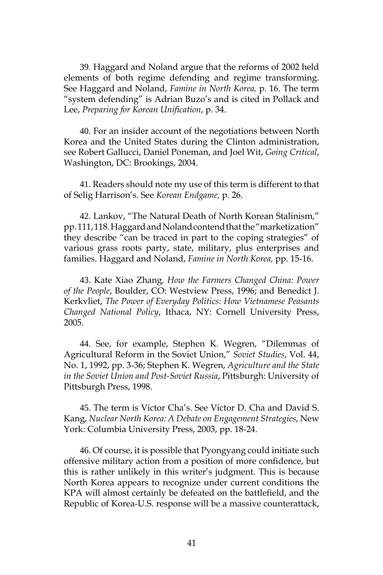39. Haggard and Noland argue that the reforms of 2002 held elements of both regime defending and regime transforming. See Haggard and Noland, *Famine in North Korea,* p. 16. The term "system defending" is Adrian Buzo's and is cited in Pollack and Lee, *Preparing for Korean Unification*, p. 34.

40. For an insider account of the negotiations between North Korea and the United States during the Clinton administration, see Robert Gallucci, Daniel Poneman, and Joel Wit, *Going Critical*, Washington, DC: Brookings, 2004.

41. Readers should note my use of this term is different to that of Selig Harrison's. See *Korean Endgame,* p. 26.

42. Lankov, "The Natural Death of North Korean Stalinism," pp. 111, 118. Haggard and Noland contend that the "marketization" they describe "can be traced in part to the coping strategies" of various grass roots party, state, military, plus enterprises and families. Haggard and Noland, *Famine in North Korea,* pp. 15-16.

43. Kate Xiao Zhang*, How the Farmers Changed China: Power of the People*, Boulder, CO: Westview Press, 1996; and Benedict J. Kerkvliet, *The Power of Everyday Politics: How Vietnamese Peasants Changed National Policy*, Ithaca, NY: Cornell University Press, 2005.

44. See, for example, Stephen K. Wegren, "Dilemmas of Agricultural Reform in the Soviet Union," *Soviet Studies*, Vol. 44, No. 1, 1992, pp. 3-36; Stephen K. Wegren, *Agriculture and the State in the Soviet Union and Post-Soviet Russia*, Pittsburgh: University of Pittsburgh Press, 1998.

45. The term is Victor Cha's. See Victor D. Cha and David S. Kang, *Nuclear North Korea: A Debate on Engagement Strategies*, New York: Columbia University Press, 2003, pp. 18-24.

46. Of course, it is possible that Pyongyang could initiate such offensive military action from a position of more confidence, but this is rather unlikely in this writer's judgment. This is because North Korea appears to recognize under current conditions the KPA will almost certainly be defeated on the battlefield, and the Republic of Korea-U.S. response will be a massive counterattack,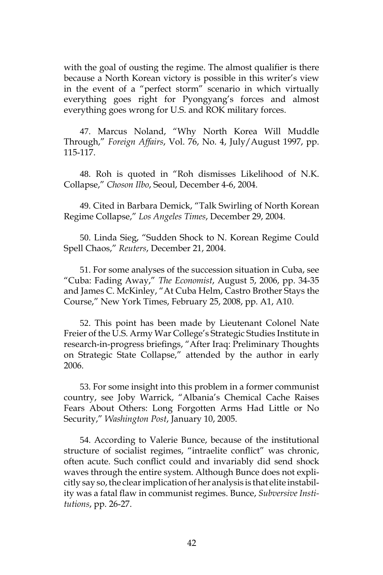with the goal of ousting the regime. The almost qualifier is there because a North Korean victory is possible in this writer's view in the event of a "perfect storm" scenario in which virtually everything goes right for Pyongyang's forces and almost everything goes wrong for U.S. and ROK military forces.

47. Marcus Noland, "Why North Korea Will Muddle Through," *Foreign Affairs*, Vol. 76, No. 4, July/August 1997, pp. 115-117.

48. Roh is quoted in "Roh dismisses Likelihood of N.K. Collapse," *Choson Ilbo*, Seoul, December 4-6, 2004.

49. Cited in Barbara Demick, "Talk Swirling of North Korean Regime Collapse," *Los Angeles Times*, December 29, 2004.

50. Linda Sieg, "Sudden Shock to N. Korean Regime Could Spell Chaos," *Reuters*, December 21, 2004.

51. For some analyses of the succession situation in Cuba, see "Cuba: Fading Away," *The Economist*, August 5, 2006, pp. 34-35 and James C. McKinley, "At Cuba Helm, Castro Brother Stays the Course," New York Times, February 25, 2008, pp. A1, A10.

52. This point has been made by Lieutenant Colonel Nate Freier of the U.S. Army War College's Strategic Studies Institute in research-in-progress briefings, "After Iraq: Preliminary Thoughts on Strategic State Collapse," attended by the author in early 2006.

53. For some insight into this problem in a former communist country, see Joby Warrick, "Albania's Chemical Cache Raises Fears About Others: Long Forgotten Arms Had Little or No Security," *Washington Post*, January 10, 2005.

54. According to Valerie Bunce, because of the institutional structure of socialist regimes, "intraelite conflict" was chronic, often acute. Such conflict could and invariably did send shock waves through the entire system. Although Bunce does not explicitly say so, the clear implication of her analysis is that elite instability was a fatal flaw in communist regimes. Bunce, *Subversive Institutions*, pp. 26-27.